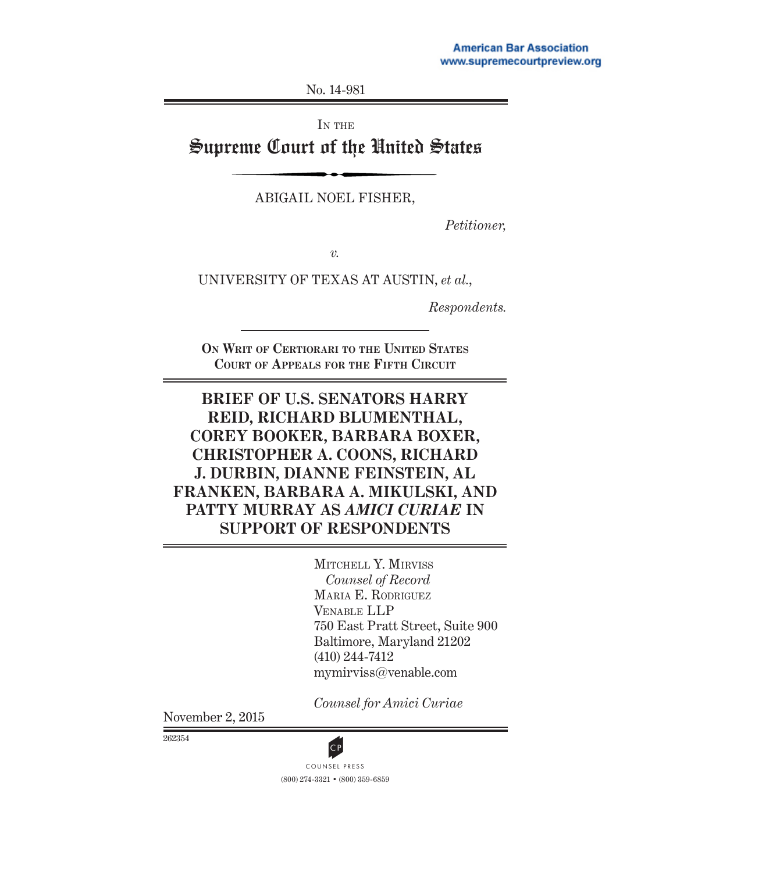No. 14-981

IN THE

# Supreme Court of the United States

ABIGAIL NOEL FISHER,

*Petitioner,*

*v.*

UNIVERSITY OF TEXAS AT AUSTIN, *et al.*,

*Respondents.*

**ON WRIT OF CERTIORARI TO THE UNITED STATES COURT OF APPEALS FOR THE FIFTH CIRCUIT**

# **BRIEF OF U.S. SENATORS HARRY REID, RICHARD BLUMENTHAL, COREY BOOKER, BARBARA BOXER, CHRISTOPHER A. COONS, RICHARD J. DURBIN, DIANNE FEINSTEIN, AL FRANKEN, BARBARA A. MIKULSKI, AND PATTY MURRAY AS** *AMICI CURIAE* **IN SUPPORT OF RESPONDENTS**

MITCHELL Y. MIRVISS *Counsel of Record*  MARIA E. RODRIGUEZ VENABLE LLP 750 East Pratt Street, Suite 900 Baltimore, Maryland 21202 (410) 244-7412 mymirviss@venable.com

*Counsel for Amici Curiae*

November 2, 2015

262354

(800) 274-3321 • (800) 359-6859 COUNSEL PRESS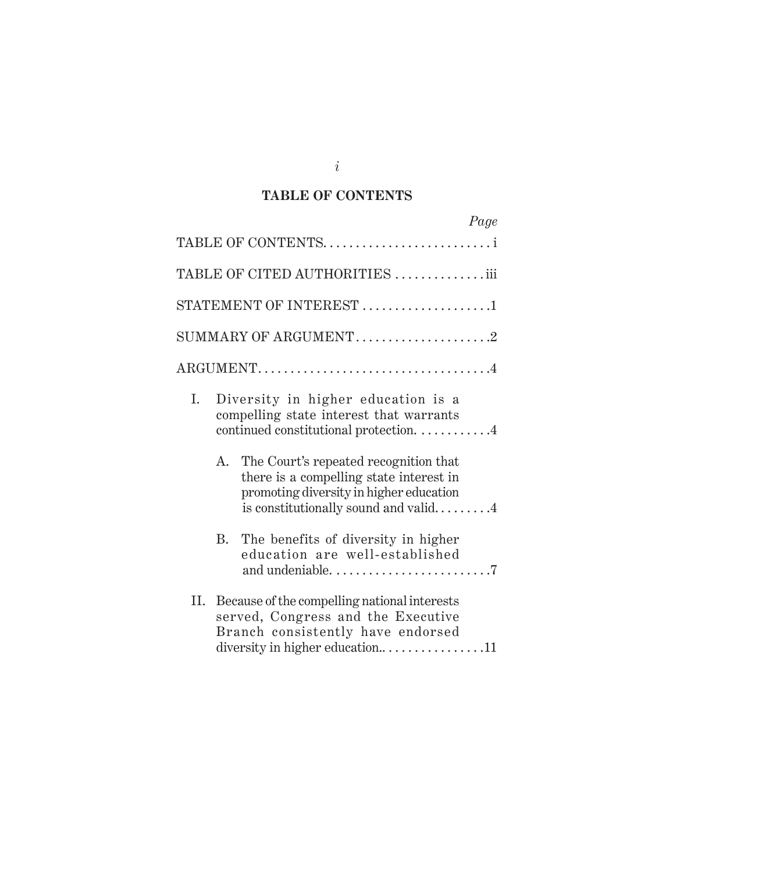### **TABLE OF CONTENTS**

|    | Page                                                                                                                                                                   |
|----|------------------------------------------------------------------------------------------------------------------------------------------------------------------------|
|    | TABLE OF CONTENTSi                                                                                                                                                     |
|    | TABLE OF CITED AUTHORITIES iii                                                                                                                                         |
|    | STATEMENT OF INTEREST 1                                                                                                                                                |
|    |                                                                                                                                                                        |
|    | $\text{ARGUMENT} \dots \dots \dots \dots \dots \dots \dots \dots \dots \dots \dots \dots \dots$                                                                        |
| I. | Diversity in higher education is a<br>compelling state interest that warrants<br>continued constitutional protection. 4                                                |
| А. | The Court's repeated recognition that<br>there is a compelling state interest in<br>promoting diversity in higher education<br>is constitutionally sound and valid $4$ |
| B. | The benefits of diversity in higher<br>education are well-established                                                                                                  |
| Н. | Because of the compelling national interests<br>served, Congress and the Executive<br>Branch consistently have endorsed<br>diversity in higher education11             |

*i*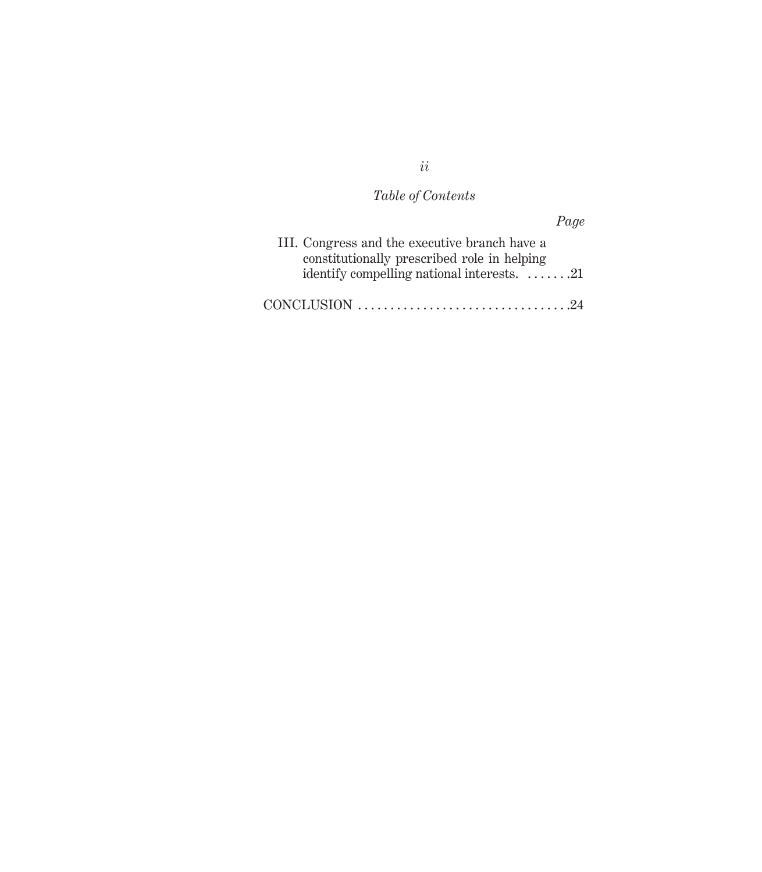# *Table of Contents*

|                                                                                              | Page |
|----------------------------------------------------------------------------------------------|------|
| III. Congress and the executive branch have a<br>constitutionally prescribed role in helping |      |
| identify compelling national interests. $\dots \dots 21$                                     |      |
|                                                                                              |      |

*ii*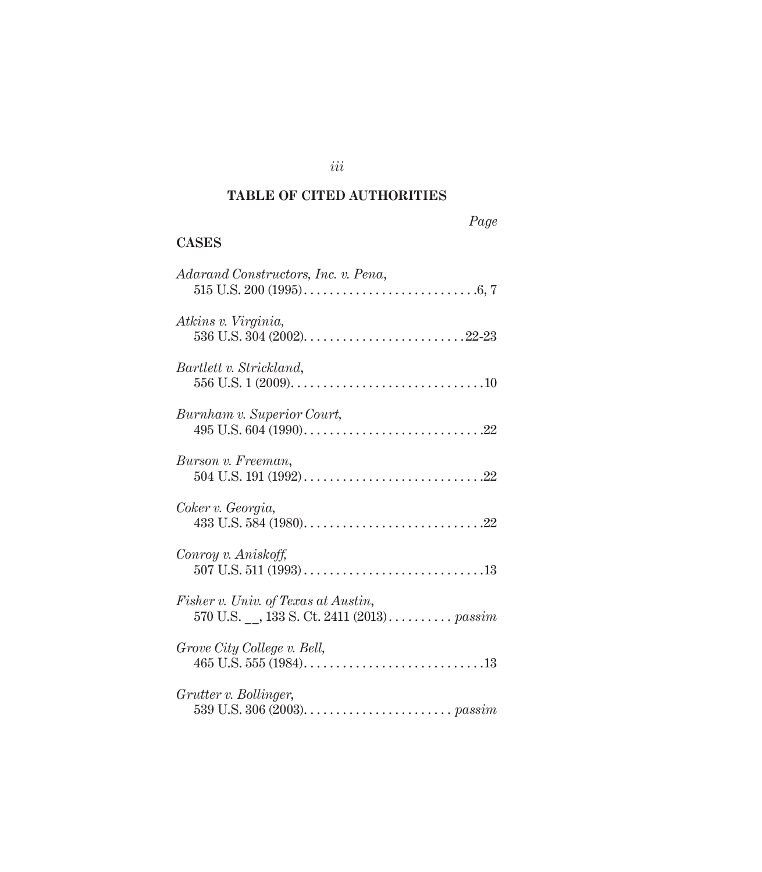# **TABLE OF CITED AUTHORITIES**

*iii*

### *Page*

## **CASES**

| Adarand Constructors, Inc. v. Pena,                                             |
|---------------------------------------------------------------------------------|
| Atkins v. Virginia,                                                             |
| Bartlett v. Strickland,                                                         |
| Burnham v. Superior Court,                                                      |
| Burson v. Freeman,                                                              |
| Coker v. Georgia,                                                               |
| Conroy v. Aniskoff,                                                             |
| Fisher v. Univ. of Texas at Austin,<br>570 U.S. , 133 S. Ct. 2411 (2013) passim |
| Grove City College v. Bell,                                                     |
| Grutter v. Bollinger,                                                           |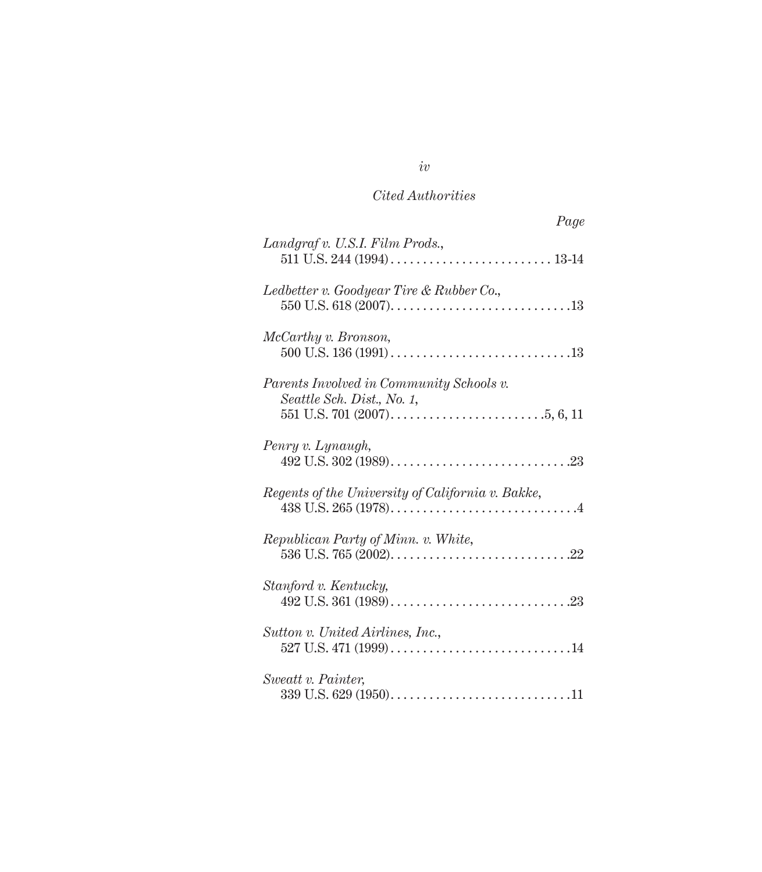| Page                                                                   |
|------------------------------------------------------------------------|
| Landgraf v. U.S.I. Film Prods.,                                        |
| Ledbetter v. Goodyear Tire & Rubber Co.,                               |
| McCarthy v. Bronson,                                                   |
| Parents Involved in Community Schools v.<br>Seattle Sch. Dist., No. 1, |
| Penry v. Lynaugh,                                                      |
| Regents of the University of California v. Bakke,                      |
| Republican Party of Minn. v. White,                                    |
| Stanford v. Kentucky,                                                  |
| Sutton v. United Airlines, Inc.,                                       |
| Sweatt v. Painter,                                                     |

*iv*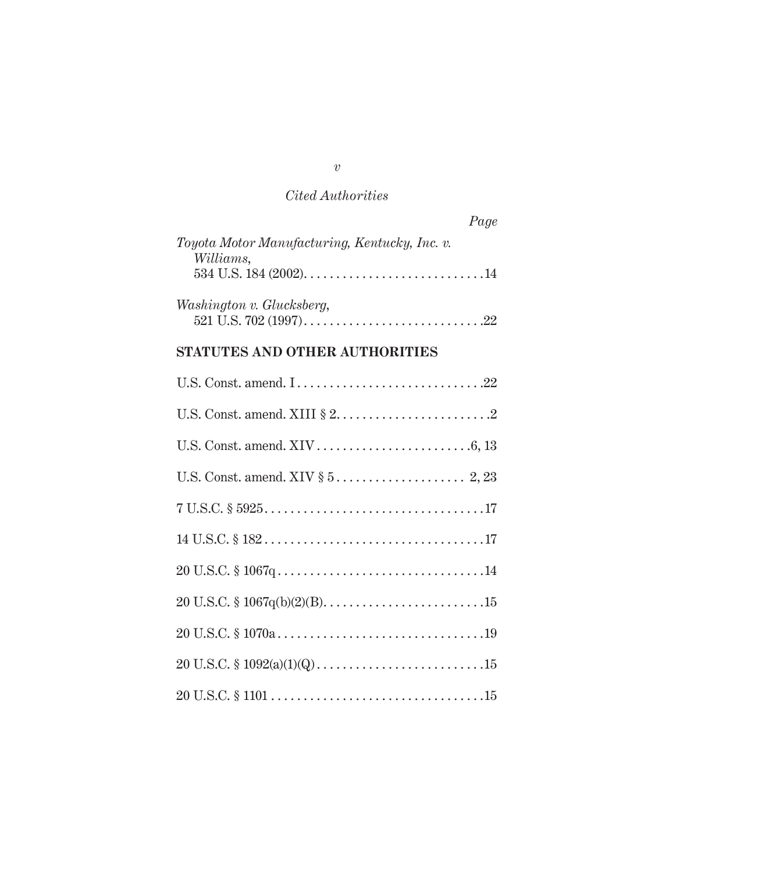| Page                                          |
|-----------------------------------------------|
| Toyota Motor Manufacturing, Kentucky, Inc. v. |
| Williams,                                     |
|                                               |
| Washington v. Glucksberg,                     |
|                                               |
|                                               |

# **STATUTES AND OTHER AUTHORITIES**

| $7 U.S.C. \S 5925. 17$ |
|------------------------|
|                        |
|                        |
|                        |
|                        |
|                        |
|                        |

*v*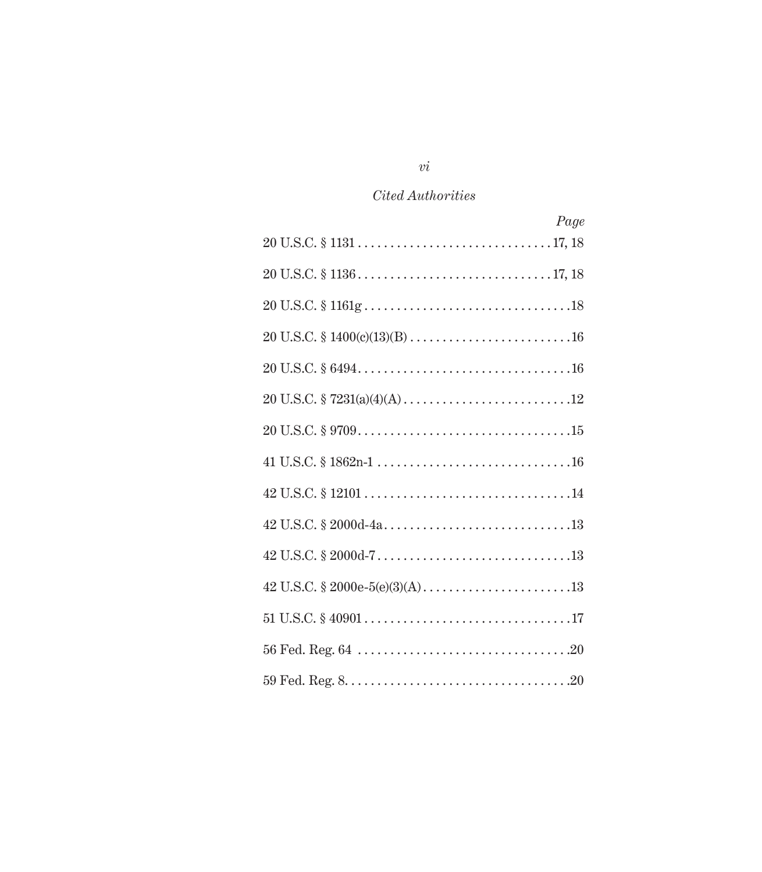| Page |
|------|
|      |
|      |
|      |
|      |
|      |
|      |
|      |
|      |
|      |
|      |
|      |
|      |
|      |
|      |
|      |

 $\emph{vi}$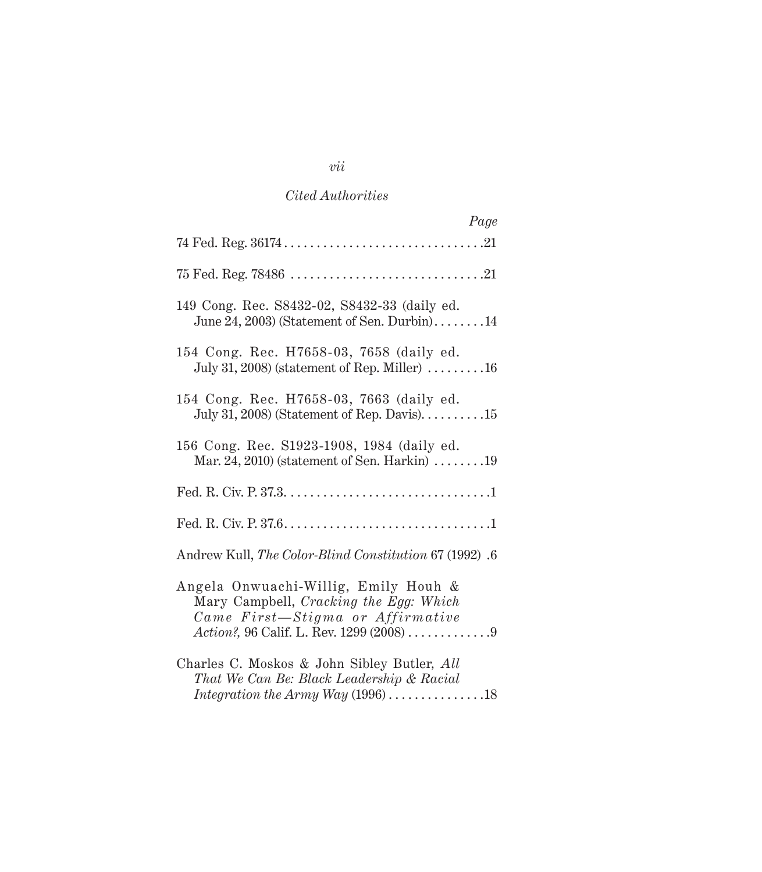| Page                                                                                                                                                           |
|----------------------------------------------------------------------------------------------------------------------------------------------------------------|
|                                                                                                                                                                |
|                                                                                                                                                                |
| 149 Cong. Rec. S8432-02, S8432-33 (daily ed.<br>June 24, 2003) (Statement of Sen. Durbin)14                                                                    |
| 154 Cong. Rec. H7658-03, 7658 (daily ed.<br>July 31, 2008) (statement of Rep. Miller) $\dots \dots \dots 16$                                                   |
| 154 Cong. Rec. H7658-03, 7663 (daily ed.<br>July 31, 2008) (Statement of Rep. Davis). $\dots \dots \dots 15$                                                   |
| 156 Cong. Rec. S1923-1908, 1984 (daily ed.<br>Mar. 24, 2010) (statement of Sen. Harkin) $\ldots \ldots \ldots$ 19                                              |
|                                                                                                                                                                |
|                                                                                                                                                                |
| Andrew Kull, The Color-Blind Constitution 67 (1992) .6                                                                                                         |
| Angela Onwuachi-Willig, Emily Houh &<br>Mary Campbell, Cracking the Egg: Which<br>Came First-Stigma or Affirmative<br>Action?, 96 Calif. L. Rev. 1299 (2008) 9 |
| Charles C. Moskos & John Sibley Butler, All<br>That We Can Be: Black Leadership & Racial<br>Integration the Army Way $(1996)$ 18                               |

*vii*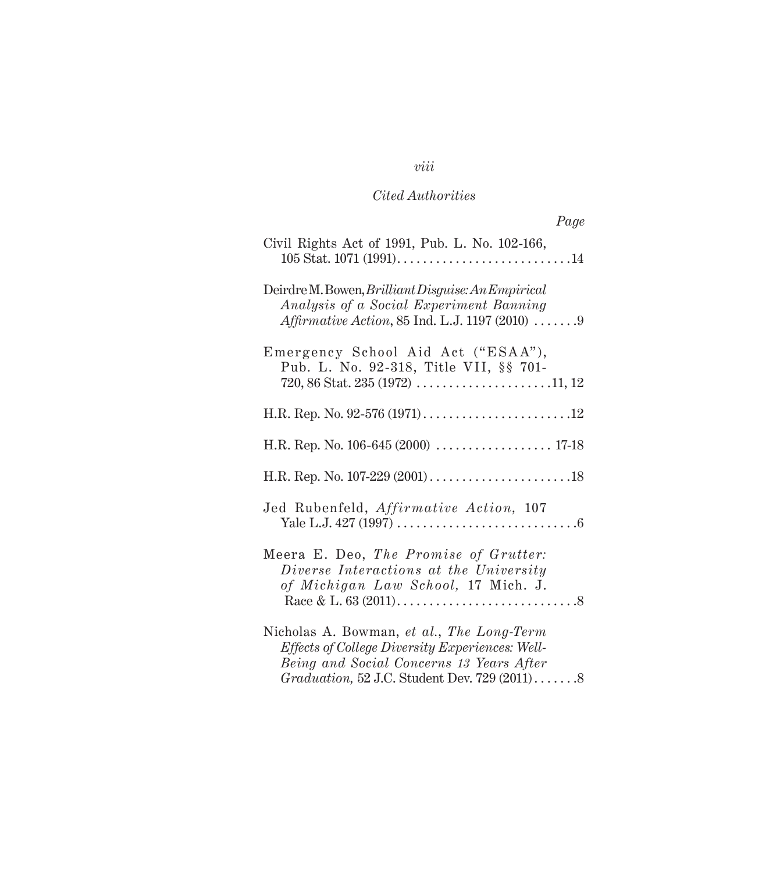| Page                                                                                                                                                    |
|---------------------------------------------------------------------------------------------------------------------------------------------------------|
| Civil Rights Act of 1991, Pub. L. No. 102-166,                                                                                                          |
| Deirdre M. Bowen, Brilliant Disguise: An Empirical<br>Analysis of a Social Experiment Banning<br><i>Affirmative Action, 85 Ind. L.J. 1197 (2010)  9</i> |
| Emergency School Aid Act ("ESAA"),<br>Pub. L. No. 92-318, Title VII, §§ 701-                                                                            |
|                                                                                                                                                         |
| H.R. Rep. No. 106-645 (2000)  17-18                                                                                                                     |
|                                                                                                                                                         |
| Jed Rubenfeld, Affirmative Action, 107                                                                                                                  |
| Meera E. Deo, The Promise of Grutter:<br>Diverse Interactions at the University<br>of Michigan Law School, 17 Mich. J.                                  |
| Nicholas A. Bowman, et al., The Long-Term<br>Effects of College Diversity Experiences: Well-<br>Being and Social Concerns 13 Years After                |

 *Graduation,* 52 J.C. Student Dev. 729 (2011) . . . . . . .8

#### *viii*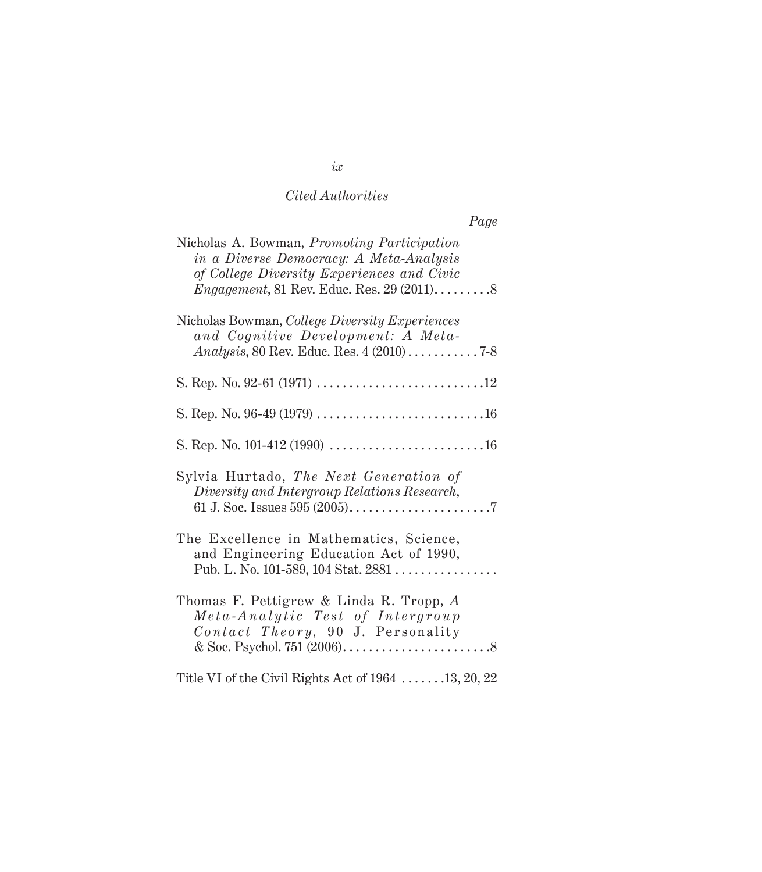| Page                                                                                                                                              |
|---------------------------------------------------------------------------------------------------------------------------------------------------|
| Nicholas A. Bowman, <i>Promoting Participation</i><br>in a Diverse Democracy: A Meta-Analysis<br>of College Diversity Experiences and Civic       |
| Nicholas Bowman, <i>College Diversity Experiences</i><br>and Cognitive Development: A Meta-<br><i>Analysis</i> , 80 Rev. Educ. Res. $4(2010)$ 7-8 |
|                                                                                                                                                   |
|                                                                                                                                                   |
|                                                                                                                                                   |
| Sylvia Hurtado, <i>The Next Generation of</i><br>Diversity and Intergroup Relations Research,                                                     |
| The Excellence in Mathematics, Science,<br>and Engineering Education Act of 1990,<br>Pub. L. No. 101-589, 104 Stat. 2881                          |
| Thomas F. Pettigrew & Linda R. Tropp, A<br>Meta-Analytic Test of Intergroup<br>Contact Theory, 90 J. Personality                                  |

Title VI of the Civil Rights Act of 1964 . . . . . . .13, 20, 22

# *ix*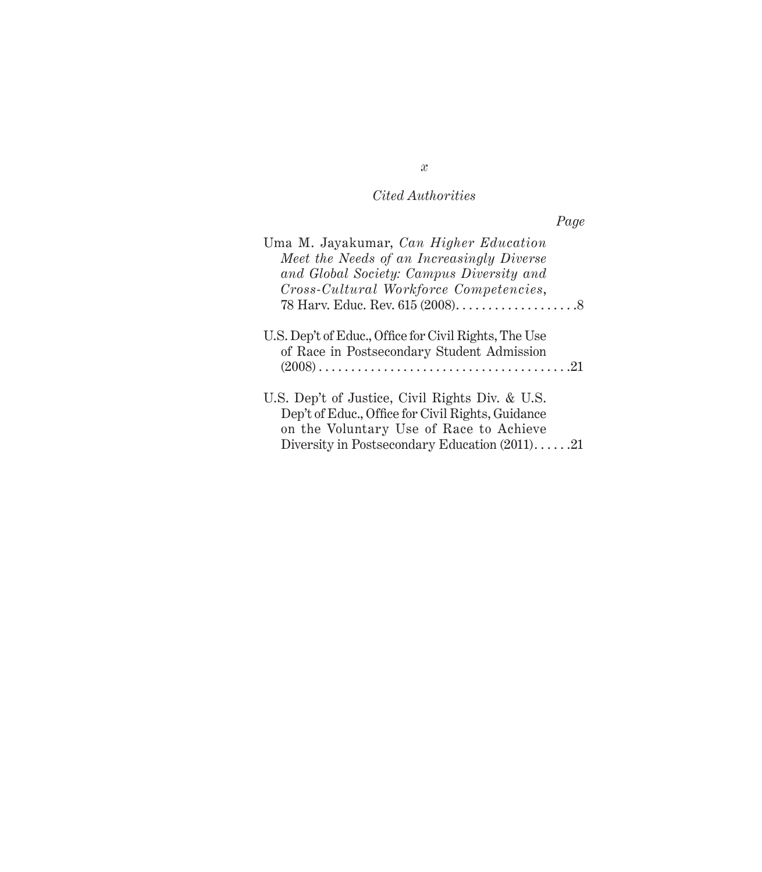|                                                                                                                                                                                                     | Page |
|-----------------------------------------------------------------------------------------------------------------------------------------------------------------------------------------------------|------|
| Uma M. Jayakumar, Can Higher Education<br>Meet the Needs of an Increasingly Diverse<br>and Global Society: Campus Diversity and<br>Cross-Cultural Workforce Competencies,                           |      |
| U.S. Dep't of Educ., Office for Civil Rights, The Use<br>of Race in Postsecondary Student Admission                                                                                                 |      |
| U.S. Dep't of Justice, Civil Rights Div. & U.S.<br>Dep't of Educ., Office for Civil Rights, Guidance<br>on the Voluntary Use of Race to Achieve<br>Diversity in Postsecondary Education $(2011)$ 21 |      |

*x*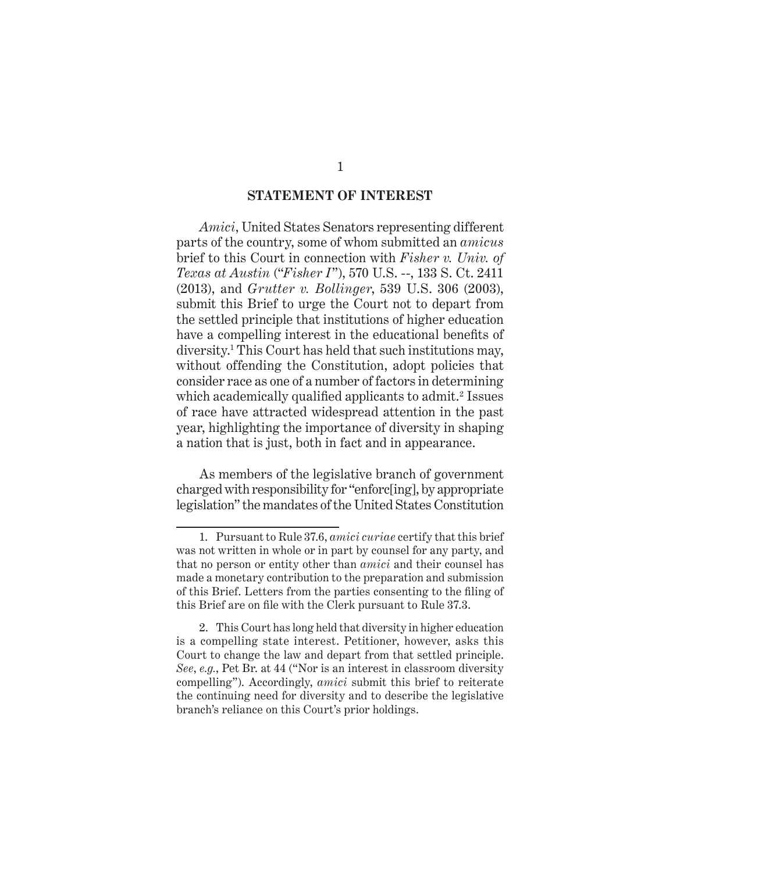#### **STATEMENT OF INTEREST**

*Amici*, United States Senators representing different parts of the country, some of whom submitted an *amicus* brief to this Court in connection with *Fisher v. Univ. of Texas at Austin* ("*Fisher I*"), 570 U.S. --, 133 S. Ct. 2411 (2013), and *Grutter v. Bollinger*, 539 U.S. 306 (2003), submit this Brief to urge the Court not to depart from the settled principle that institutions of higher education have a compelling interest in the educational benefits of diversity.1 This Court has held that such institutions may, without offending the Constitution, adopt policies that consider race as one of a number of factors in determining which academically qualified applicants to admit.<sup>2</sup> Issues of race have attracted widespread attention in the past year, highlighting the importance of diversity in shaping a nation that is just, both in fact and in appearance.

As members of the legislative branch of government charged with responsibility for "enforc[ing], by appropriate legislation" the mandates of the United States Constitution

<sup>1.</sup> Pursuant to Rule 37.6, *amici curiae* certify that this brief was not written in whole or in part by counsel for any party, and that no person or entity other than *amici* and their counsel has made a monetary contribution to the preparation and submission of this Brief. Letters from the parties consenting to the filing of this Brief are on file with the Clerk pursuant to Rule 37.3.

<sup>2.</sup> This Court has long held that diversity in higher education is a compelling state interest. Petitioner, however, asks this Court to change the law and depart from that settled principle. *See*, *e.g.*, Pet Br. at 44 ("Nor is an interest in classroom diversity compelling"). Accordingly, *amici* submit this brief to reiterate the continuing need for diversity and to describe the legislative branch's reliance on this Court's prior holdings.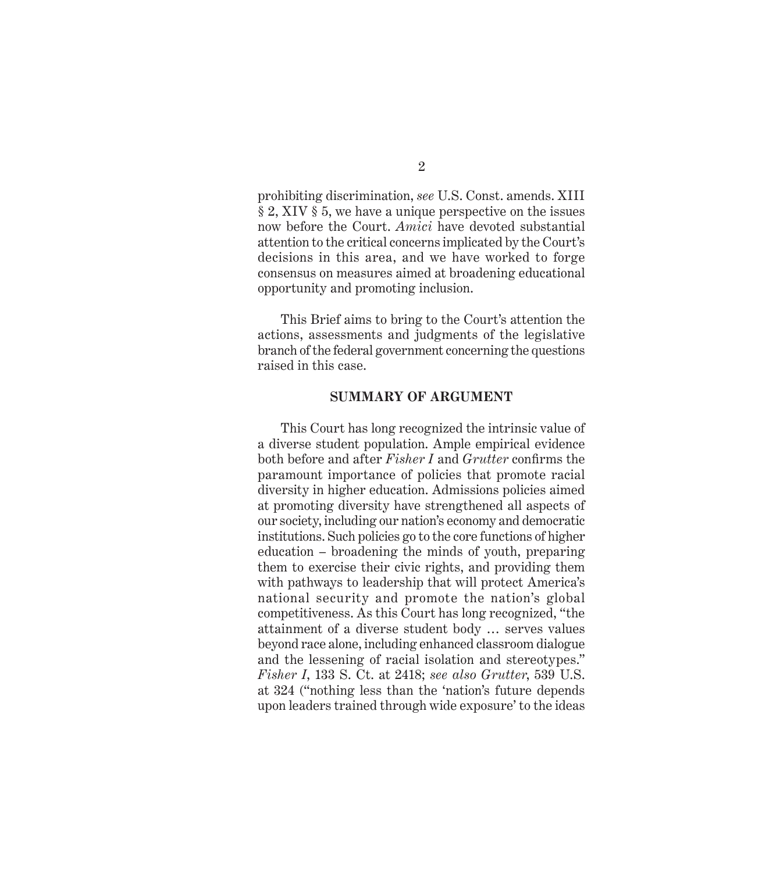prohibiting discrimination, *see* U.S. Const. amends. XIII § 2, XIV § 5, we have a unique perspective on the issues now before the Court. *Amici* have devoted substantial attention to the critical concerns implicated by the Court's decisions in this area, and we have worked to forge consensus on measures aimed at broadening educational opportunity and promoting inclusion.

This Brief aims to bring to the Court's attention the actions, assessments and judgments of the legislative branch of the federal government concerning the questions raised in this case.

#### **SUMMARY OF ARGUMENT**

This Court has long recognized the intrinsic value of a diverse student population. Ample empirical evidence both before and after *Fisher I* and *Grutter* confirms the paramount importance of policies that promote racial diversity in higher education. Admissions policies aimed at promoting diversity have strengthened all aspects of our society, including our nation's economy and democratic institutions. Such policies go to the core functions of higher education – broadening the minds of youth, preparing them to exercise their civic rights, and providing them with pathways to leadership that will protect America's national security and promote the nation's global competitiveness. As this Court has long recognized, "the attainment of a diverse student body … serves values beyond race alone, including enhanced classroom dialogue and the lessening of racial isolation and stereotypes." *Fisher I*, 133 S. Ct. at 2418; *see also Grutter*, 539 U.S. at 324 ("nothing less than the 'nation's future depends upon leaders trained through wide exposure' to the ideas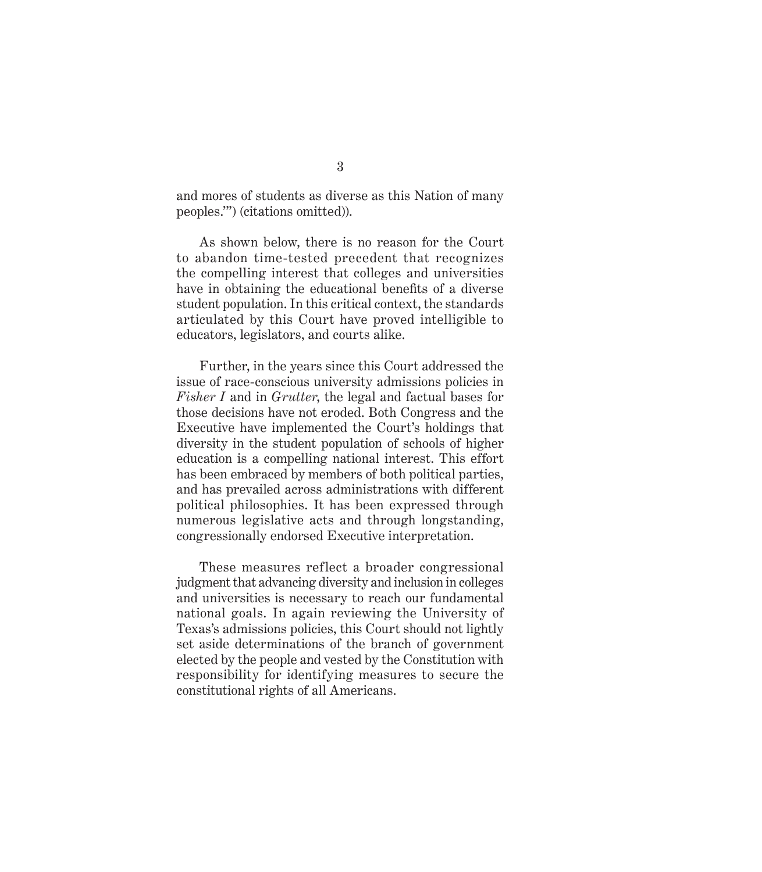and mores of students as diverse as this Nation of many peoples.'") (citations omitted)).

As shown below, there is no reason for the Court to abandon time-tested precedent that recognizes the compelling interest that colleges and universities have in obtaining the educational benefits of a diverse student population. In this critical context, the standards articulated by this Court have proved intelligible to educators, legislators, and courts alike.

Further, in the years since this Court addressed the issue of race-conscious university admissions policies in *Fisher I* and in *Grutter*, the legal and factual bases for those decisions have not eroded. Both Congress and the Executive have implemented the Court's holdings that diversity in the student population of schools of higher education is a compelling national interest. This effort has been embraced by members of both political parties, and has prevailed across administrations with different political philosophies. It has been expressed through numerous legislative acts and through longstanding, congressionally endorsed Executive interpretation.

These measures reflect a broader congressional judgment that advancing diversity and inclusion in colleges and universities is necessary to reach our fundamental national goals. In again reviewing the University of Texas's admissions policies, this Court should not lightly set aside determinations of the branch of government elected by the people and vested by the Constitution with responsibility for identifying measures to secure the constitutional rights of all Americans.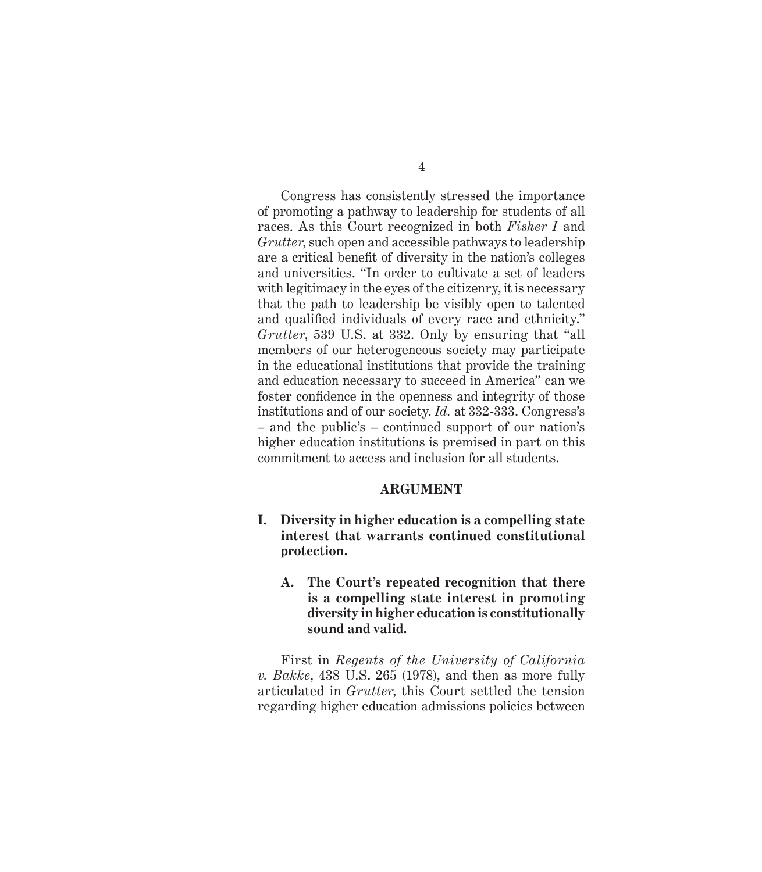Congress has consistently stressed the importance of promoting a pathway to leadership for students of all races. As this Court recognized in both *Fisher I* and *Grutter*, such open and accessible pathways to leadership are a critical benefit of diversity in the nation's colleges and universities. "In order to cultivate a set of leaders with legitimacy in the eyes of the citizenry, it is necessary that the path to leadership be visibly open to talented and qualified individuals of every race and ethnicity." *Grutter*, 539 U.S. at 332. Only by ensuring that "all members of our heterogeneous society may participate in the educational institutions that provide the training and education necessary to succeed in America" can we foster confidence in the openness and integrity of those institutions and of our society. *Id.* at 332-333. Congress's – and the public's – continued support of our nation's higher education institutions is premised in part on this commitment to access and inclusion for all students.

#### **ARGUMENT**

- **I. Diversity in higher education is a compelling state interest that warrants continued constitutional protection.**
	- **A. The Court's repeated recognition that there is a compelling state interest in promoting diversity in higher education is constitutionally sound and valid.**

First in *Regents of the University of California v. Bakke*, 438 U.S. 265 (1978), and then as more fully articulated in *Grutter*, this Court settled the tension regarding higher education admissions policies between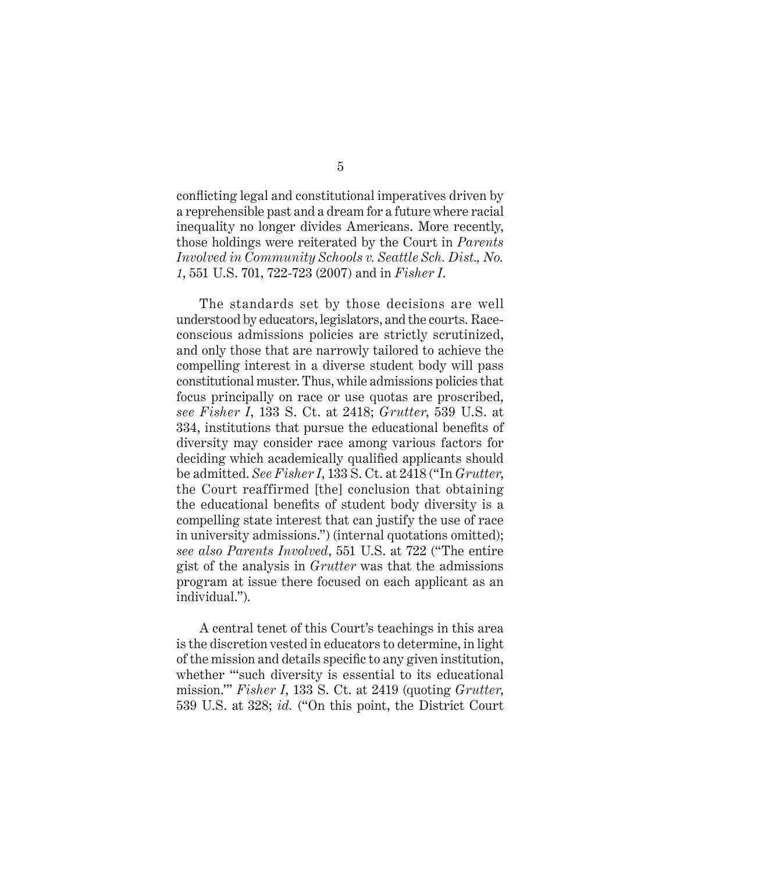conflicting legal and constitutional imperatives driven by a reprehensible past and a dream for a future where racial inequality no longer divides Americans. More recently, those holdings were reiterated by the Court in *Parents Involved in Community Schools v. Seattle Sch. Dist., No. 1*, 551 U.S. 701, 722-723 (2007) and in *Fisher I*.

The standards set by those decisions are well understood by educators, legislators, and the courts. Raceconscious admissions policies are strictly scrutinized, and only those that are narrowly tailored to achieve the compelling interest in a diverse student body will pass constitutional muster. Thus, while admissions policies that focus principally on race or use quotas are proscribed, *see Fisher I*, 133 S. Ct. at 2418; *Grutter*, 539 U.S. at 334, institutions that pursue the educational benefits of diversity may consider race among various factors for deciding which academically qualified applicants should be admitted. *See Fisher I*, 133 S. Ct. at 2418 ("In *Grutter*, the Court reaffirmed [the] conclusion that obtaining the educational benefits of student body diversity is a compelling state interest that can justify the use of race in university admissions.") (internal quotations omitted); *see also Parents Involved*, 551 U.S. at 722 ("The entire gist of the analysis in *Grutter* was that the admissions program at issue there focused on each applicant as an individual.").

A central tenet of this Court's teachings in this area is the discretion vested in educators to determine, in light of the mission and details specific to any given institution, whether "'such diversity is essential to its educational mission.'" *Fisher I*, 133 S. Ct. at 2419 (quoting *Grutter*, 539 U.S. at 328; *id.* ("On this point, the District Court

#### 5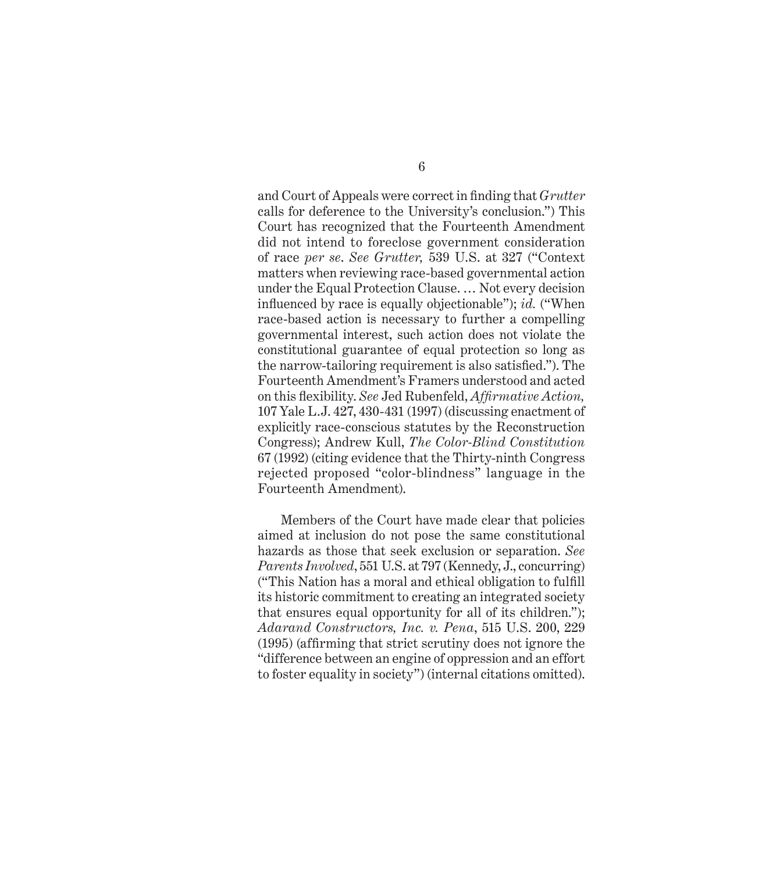and Court of Appeals were correct in finding that *Grutter* calls for deference to the University's conclusion.") This Court has recognized that the Fourteenth Amendment did not intend to foreclose government consideration of race *per se*. *See Grutter,* 539 U.S. at 327 ("Context matters when reviewing race-based governmental action under the Equal Protection Clause. … Not every decision influenced by race is equally objectionable"); *id.* ("When race-based action is necessary to further a compelling governmental interest, such action does not violate the constitutional guarantee of equal protection so long as the narrow-tailoring requirement is also satisfied."). The Fourteenth Amendment's Framers understood and acted on this flexibility. *See* Jed Rubenfeld, *Affirmative Action*, 107 Yale L.J. 427, 430-431 (1997) (discussing enactment of explicitly race-conscious statutes by the Reconstruction Congress); Andrew Kull, *The Color-Blind Constitution* 67 (1992) (citing evidence that the Thirty-ninth Congress rejected proposed "color-blindness" language in the Fourteenth Amendment).

Members of the Court have made clear that policies aimed at inclusion do not pose the same constitutional hazards as those that seek exclusion or separation. *See Parents Involved*, 551 U.S. at 797 (Kennedy, J., concurring) ("This Nation has a moral and ethical obligation to fulfill its historic commitment to creating an integrated society that ensures equal opportunity for all of its children."); *Adarand Constructors, Inc. v. Pena*, 515 U.S. 200, 229 (1995) (affirming that strict scrutiny does not ignore the "difference between an engine of oppression and an effort to foster equality in society") (internal citations omitted).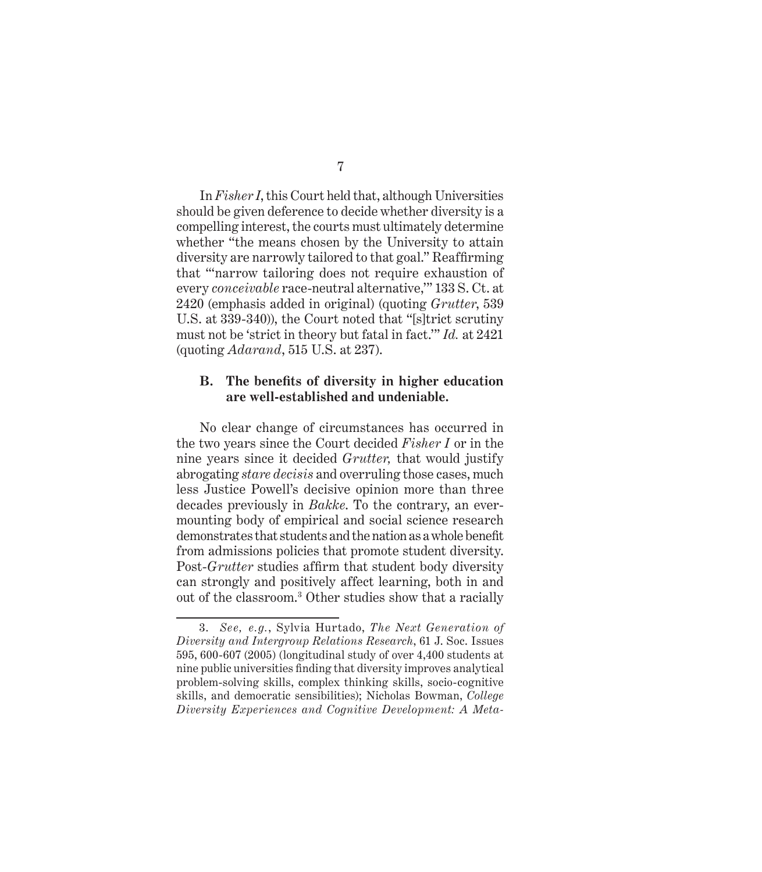In *Fisher I*, this Court held that, although Universities should be given deference to decide whether diversity is a compelling interest, the courts must ultimately determine whether "the means chosen by the University to attain diversity are narrowly tailored to that goal." Reaffirming that "'narrow tailoring does not require exhaustion of every *conceivable* race-neutral alternative,'" 133 S. Ct. at 2420 (emphasis added in original) (quoting *Grutter*, 539 U.S. at 339-340)), the Court noted that "[s]trict scrutiny must not be 'strict in theory but fatal in fact.'" *Id.* at 2421 (quoting *Adarand*, 515 U.S. at 237).

#### **B.** The benefits of diversity in higher education **are well-established and undeniable.**

No clear change of circumstances has occurred in the two years since the Court decided *Fisher I* or in the nine years since it decided *Grutter,* that would justify abrogating *stare decisis* and overruling those cases, much less Justice Powell's decisive opinion more than three decades previously in *Bakke*. To the contrary, an evermounting body of empirical and social science research demonstrates that students and the nation as a whole benefit from admissions policies that promote student diversity. Post-*Grutter* studies affirm that student body diversity can strongly and positively affect learning, both in and out of the classroom.3 Other studies show that a racially

<sup>3.</sup> *See, e.g.*, Sylvia Hurtado, *The Next Generation of Diversity and Intergroup Relations Research*, 61 J. Soc. Issues 595, 600-607 (2005) (longitudinal study of over 4,400 students at nine public universities finding that diversity improves analytical problem-solving skills, complex thinking skills, socio-cognitive skills, and democratic sensibilities); Nicholas Bowman, *College Diversity Experiences and Cognitive Development: A Meta-*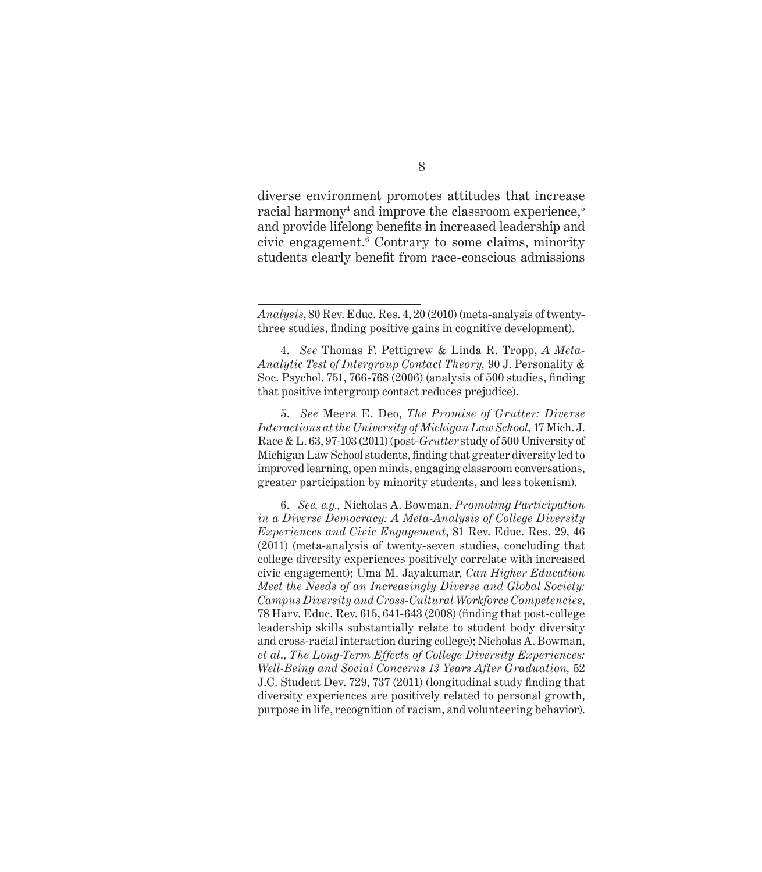diverse environment promotes attitudes that increase  $\rm{racial\,\,harmony^4}$  and improve the classroom experience, $^{\rm 5}$ and provide lifelong benefits in increased leadership and civic engagement.6 Contrary to some claims, minority students clearly benefit from race-conscious admissions

5. *See* Meera E. Deo, *The Promise of Grutter: Diverse Interactions at the University of Michigan Law School,* 17 Mich. J. Race & L. 63, 97-103 (2011) (post-*Grutter* study of 500 University of Michigan Law School students, finding that greater diversity led to improved learning, open minds, engaging classroom conversations, greater participation by minority students, and less tokenism).

6. *See, e.g.,* Nicholas A. Bowman, *Promoting Participation in a Diverse Democracy: A Meta-Analysis of College Diversity Experiences and Civic Engagement*, 81 Rev. Educ. Res. 29, 46 (2011) (meta-analysis of twenty-seven studies, concluding that college diversity experiences positively correlate with increased civic engagement); Uma M. Jayakumar, *Can Higher Education Meet the Needs of an Increasingly Diverse and Global Society: Campus Diversity and Cross-Cultural Workforce Competencies*,  $78$  Harv. Educ. Rev.  $615, 641-643$  (2008) (finding that post-college leadership skills substantially relate to student body diversity and cross-racial interaction during college); Nicholas A. Bowman, *et al*., *The Long-Term Effects of College Diversity Experiences: Well-Being and Social Concerns 13 Years After Graduation,* 52 J.C. Student Dev. 729, 737 (2011) (longitudinal study finding that diversity experiences are positively related to personal growth, purpose in life, recognition of racism, and volunteering behavior).

*Analysis*, 80 Rev. Educ. Res. 4, 20 (2010) (meta-analysis of twentythree studies, finding positive gains in cognitive development).

<sup>4.</sup> *See* Thomas F. Pettigrew & Linda R. Tropp, *A Meta-Analytic Test of Intergroup Contact Theory,* 90 J. Personality & Soc. Psychol.  $751, 766-768$  (2006) (analysis of  $500$  studies, finding that positive intergroup contact reduces prejudice).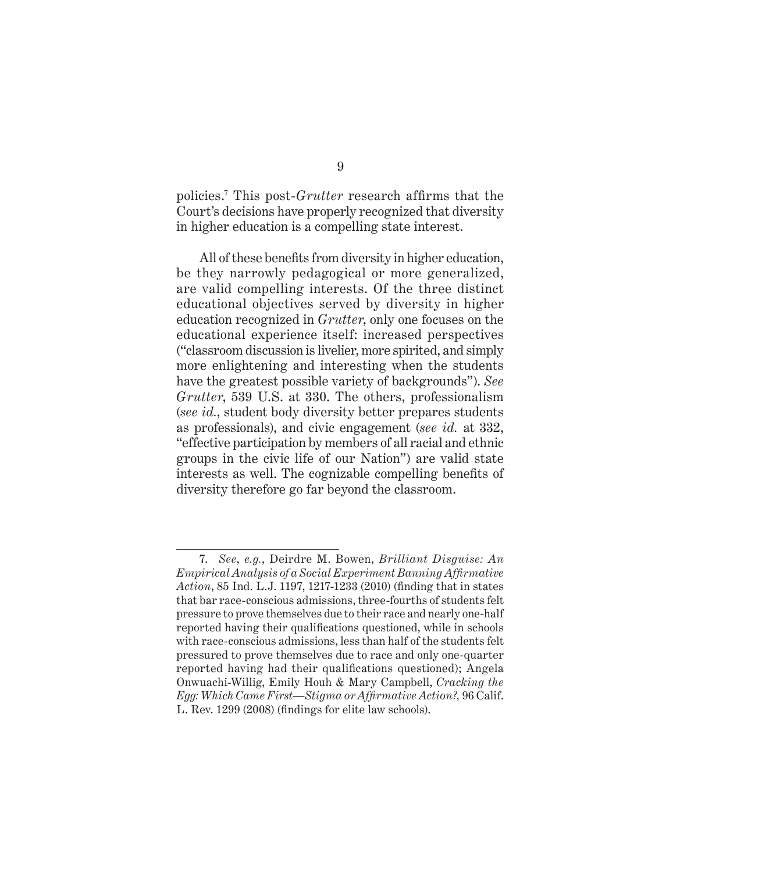policies.<sup>7</sup> This post-*Grutter* research affirms that the Court's decisions have properly recognized that diversity in higher education is a compelling state interest.

All of these benefits from diversity in higher education, be they narrowly pedagogical or more generalized, are valid compelling interests. Of the three distinct educational objectives served by diversity in higher education recognized in *Grutter*, only one focuses on the educational experience itself: increased perspectives ("classroom discussion is livelier, more spirited, and simply more enlightening and interesting when the students have the greatest possible variety of backgrounds"). *See Grutter*, 539 U.S. at 330. The others, professionalism (*see id.*, student body diversity better prepares students as professionals), and civic engagement (*see id.* at 332, "effective participation by members of all racial and ethnic groups in the civic life of our Nation") are valid state interests as well. The cognizable compelling benefits of diversity therefore go far beyond the classroom.

<sup>7.</sup> *See*, *e.g.*, Deirdre M. Bowen, *Brilliant Disguise: An*   $Empirical Analysis of a Social Experiment \, Banning Affirmative$ Action, 85 Ind. L.J. 1197, 1217-1233 (2010) (finding that in states that bar race-conscious admissions, three-fourths of students felt pressure to prove themselves due to their race and nearly one-half reported having their qualifications questioned, while in schools with race-conscious admissions, less than half of the students felt pressured to prove themselves due to race and only one-quarter reported having had their qualifications questioned); Angela Onwuachi-Willig, Emily Houh & Mary Campbell, *Cracking the Egg: Which Came First—Stigma or Affi rmative Action?,* 96 Calif. L. Rev. 1299 (2008) (findings for elite law schools).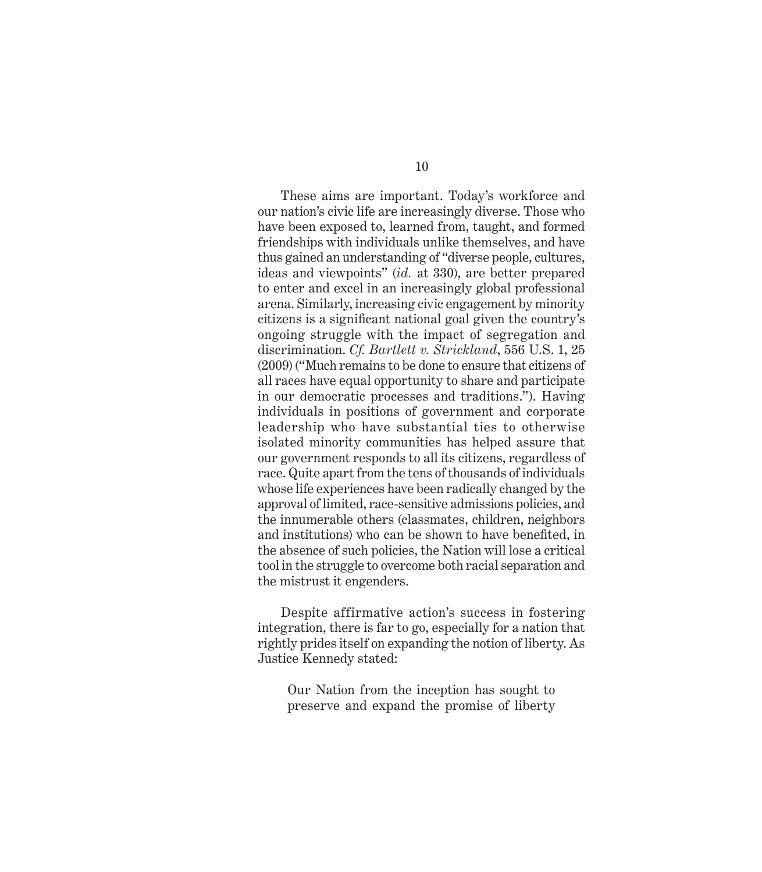These aims are important. Today's workforce and our nation's civic life are increasingly diverse. Those who have been exposed to, learned from, taught, and formed friendships with individuals unlike themselves, and have thus gained an understanding of "diverse people, cultures, ideas and viewpoints" (*id.* at 330), are better prepared to enter and excel in an increasingly global professional arena. Similarly, increasing civic engagement by minority citizens is a significant national goal given the country's ongoing struggle with the impact of segregation and discrimination. *Cf. Bartlett v. Strickland*, 556 U.S. 1, 25 (2009) ("Much remains to be done to ensure that citizens of all races have equal opportunity to share and participate in our democratic processes and traditions."). Having individuals in positions of government and corporate leadership who have substantial ties to otherwise isolated minority communities has helped assure that our government responds to all its citizens, regardless of race. Quite apart from the tens of thousands of individuals whose life experiences have been radically changed by the approval of limited, race-sensitive admissions policies, and the innumerable others (classmates, children, neighbors and institutions) who can be shown to have benefited, in the absence of such policies, the Nation will lose a critical tool in the struggle to overcome both racial separation and the mistrust it engenders.

Despite affirmative action's success in fostering integration, there is far to go, especially for a nation that rightly prides itself on expanding the notion of liberty. As Justice Kennedy stated:

Our Nation from the inception has sought to preserve and expand the promise of liberty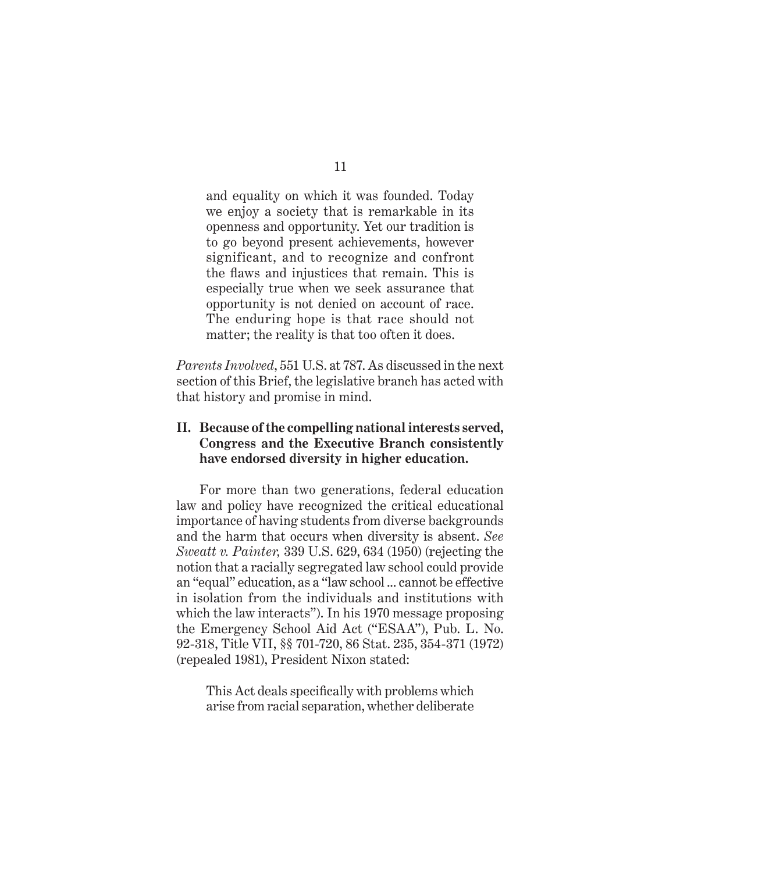and equality on which it was founded. Today we enjoy a society that is remarkable in its openness and opportunity. Yet our tradition is to go beyond present achievements, however significant, and to recognize and confront the flaws and injustices that remain. This is especially true when we seek assurance that opportunity is not denied on account of race. The enduring hope is that race should not matter; the reality is that too often it does.

*Parents Involved*, 551 U.S. at 787. As discussed in the next section of this Brief, the legislative branch has acted with that history and promise in mind.

#### **II. Because of the compelling national interests served, Congress and the Executive Branch consistently have endorsed diversity in higher education.**

For more than two generations, federal education law and policy have recognized the critical educational importance of having students from diverse backgrounds and the harm that occurs when diversity is absent. *See Sweatt v. Painter,* 339 U.S. 629, 634 (1950) (rejecting the notion that a racially segregated law school could provide an "equal" education, as a "law school ... cannot be effective in isolation from the individuals and institutions with which the law interacts"). In his 1970 message proposing the Emergency School Aid Act ("ESAA"), Pub. L. No. 92-318, Title VII, §§ 701-720, 86 Stat. 235, 354-371 (1972) (repealed 1981), President Nixon stated:

This Act deals specifically with problems which arise from racial separation, whether deliberate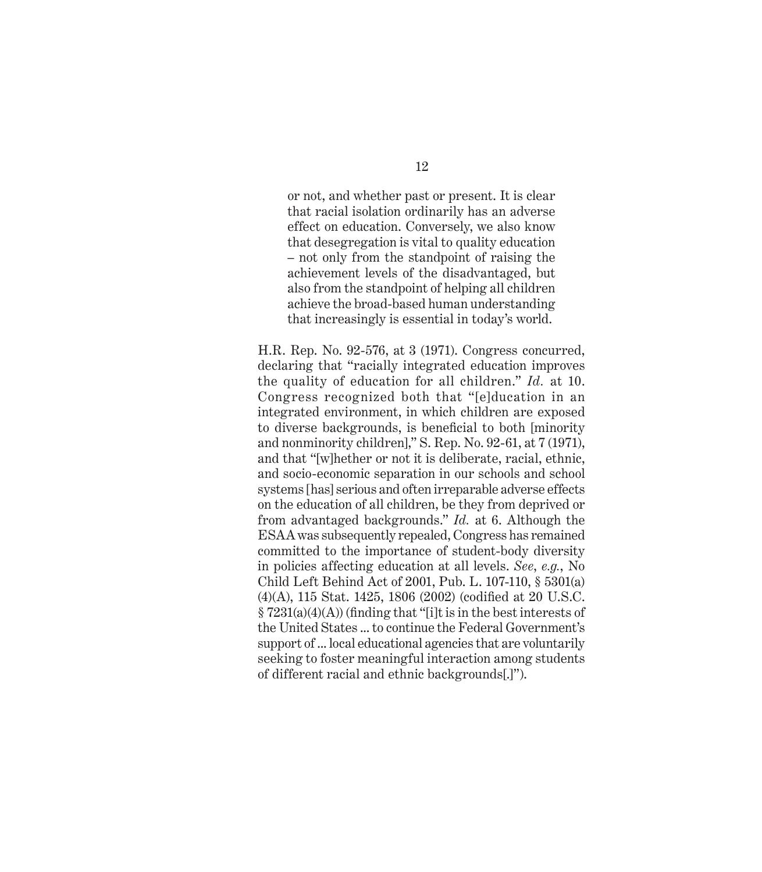or not, and whether past or present. It is clear that racial isolation ordinarily has an adverse effect on education. Conversely, we also know that desegregation is vital to quality education – not only from the standpoint of raising the achievement levels of the disadvantaged, but also from the standpoint of helping all children achieve the broad-based human understanding that increasingly is essential in today's world.

H.R. Rep. No. 92-576, at 3 (1971). Congress concurred, declaring that "racially integrated education improves the quality of education for all children." *Id.* at 10. Congress recognized both that "[e]ducation in an integrated environment, in which children are exposed to diverse backgrounds, is beneficial to both [minority] and nonminority children]," S. Rep. No. 92-61, at 7 (1971), and that "[w]hether or not it is deliberate, racial, ethnic, and socio-economic separation in our schools and school systems [has] serious and often irreparable adverse effects on the education of all children, be they from deprived or from advantaged backgrounds." *Id.* at 6. Although the ESAA was subsequently repealed, Congress has remained committed to the importance of student-body diversity in policies affecting education at all levels. *See*, *e.g.*, No Child Left Behind Act of 2001, Pub. L. 107-110, § 5301(a)  $(4)(A)$ , 115 Stat. 1425, 1806 (2002) (codified at 20 U.S.C.  $\S 7231(a)(4)(A)$  (finding that "[i]t is in the best interests of the United States ... to continue the Federal Government's support of ... local educational agencies that are voluntarily seeking to foster meaningful interaction among students of different racial and ethnic backgrounds[.]").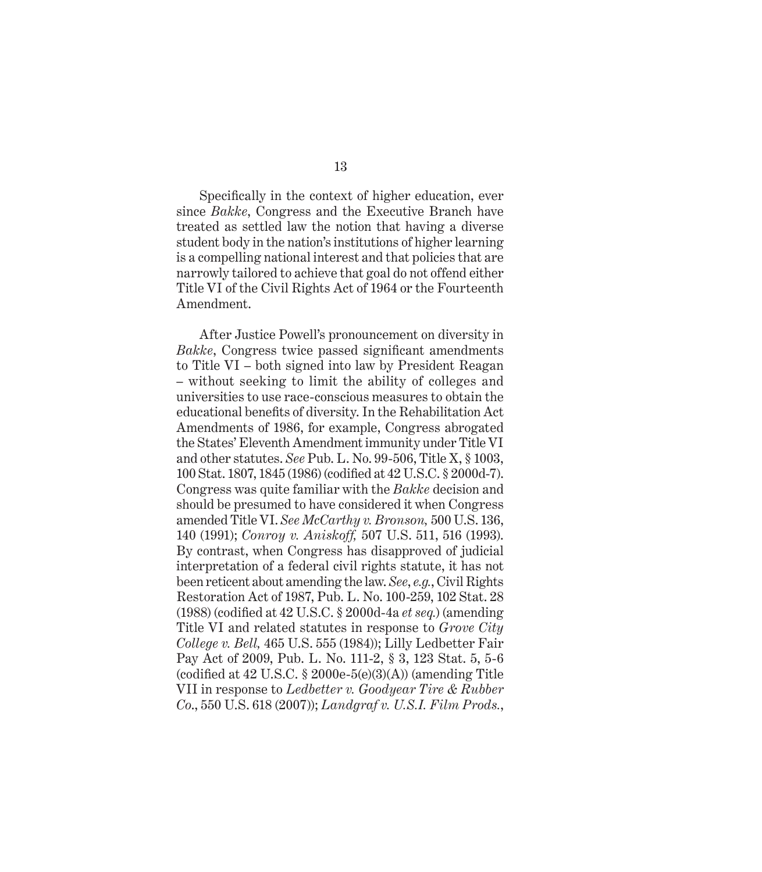Specifically in the context of higher education, ever since *Bakke*, Congress and the Executive Branch have treated as settled law the notion that having a diverse student body in the nation's institutions of higher learning is a compelling national interest and that policies that are narrowly tailored to achieve that goal do not offend either Title VI of the Civil Rights Act of 1964 or the Fourteenth Amendment.

After Justice Powell's pronouncement on diversity in *Bakke*, Congress twice passed significant amendments to Title VI – both signed into law by President Reagan – without seeking to limit the ability of colleges and universities to use race-conscious measures to obtain the educational benefits of diversity. In the Rehabilitation Act Amendments of 1986, for example, Congress abrogated the States' Eleventh Amendment immunity under Title VI and other statutes. *See* Pub. L. No. 99-506, Title X, § 1003, 100 Stat. 1807, 1845 (1986) (codified at 42 U.S.C. § 2000d-7). Congress was quite familiar with the *Bakke* decision and should be presumed to have considered it when Congress amended Title VI. *See McCarthy v. Bronson,* 500 U.S. 136, 140 (1991); *Conroy v. Aniskoff,* 507 U.S. 511, 516 (1993). By contrast, when Congress has disapproved of judicial interpretation of a federal civil rights statute, it has not been reticent about amending the law. *See*, *e.g.*, Civil Rights Restoration Act of 1987, Pub. L. No. 100-259, 102 Stat. 28 (1988) (codified at 42 U.S.C. § 2000d-4a *et seq.*) (amending Title VI and related statutes in response to *Grove City College v. Bell,* 465 U.S. 555 (1984)); Lilly Ledbetter Fair Pay Act of 2009, Pub. L. No. 111-2, § 3, 123 Stat. 5, 5-6 (codified at  $42 \text{ U.S.C. }$   $\S 2000e-5(e)(3(A))$  (amending Title VII in response to *Ledbetter v. Goodyear Tire & Rubber Co*., 550 U.S. 618 (2007)); *Landgraf v. U.S.I. Film Prods.*,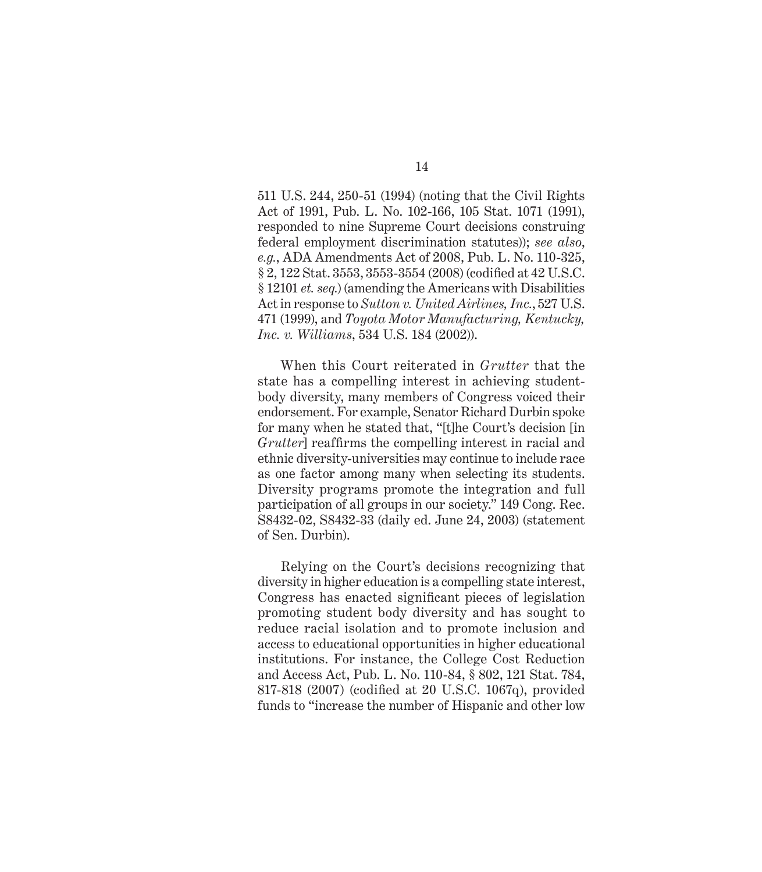511 U.S. 244, 250-51 (1994) (noting that the Civil Rights Act of 1991, Pub. L. No. 102-166, 105 Stat. 1071 (1991), responded to nine Supreme Court decisions construing federal employment discrimination statutes)); *see also*, *e.g.*, ADA Amendments Act of 2008, Pub. L. No. 110-325,  $\S 2, 122$  Stat. 3553, 3553-3554 (2008) (codified at 42 U.S.C. § 12101 *et. seq.*) (amending the Americans with Disabilities Act in response to *Sutton v. United Airlines, Inc.*, 527 U.S. 471 (1999), and *Toyota Motor Manufacturing, Kentucky, Inc. v. Williams*, 534 U.S. 184 (2002)).

When this Court reiterated in *Grutter* that the state has a compelling interest in achieving studentbody diversity, many members of Congress voiced their endorsement. For example, Senator Richard Durbin spoke for many when he stated that, "[t]he Court's decision [in *Grutter*] reaffirms the compelling interest in racial and ethnic diversity-universities may continue to include race as one factor among many when selecting its students. Diversity programs promote the integration and full participation of all groups in our society." 149 Cong. Rec. S8432-02, S8432-33 (daily ed. June 24, 2003) (statement of Sen. Durbin).

Relying on the Court's decisions recognizing that diversity in higher education is a compelling state interest, Congress has enacted significant pieces of legislation promoting student body diversity and has sought to reduce racial isolation and to promote inclusion and access to educational opportunities in higher educational institutions. For instance, the College Cost Reduction and Access Act, Pub. L. No. 110-84, § 802, 121 Stat. 784, 817-818 (2007) (codified at 20 U.S.C. 1067q), provided funds to "increase the number of Hispanic and other low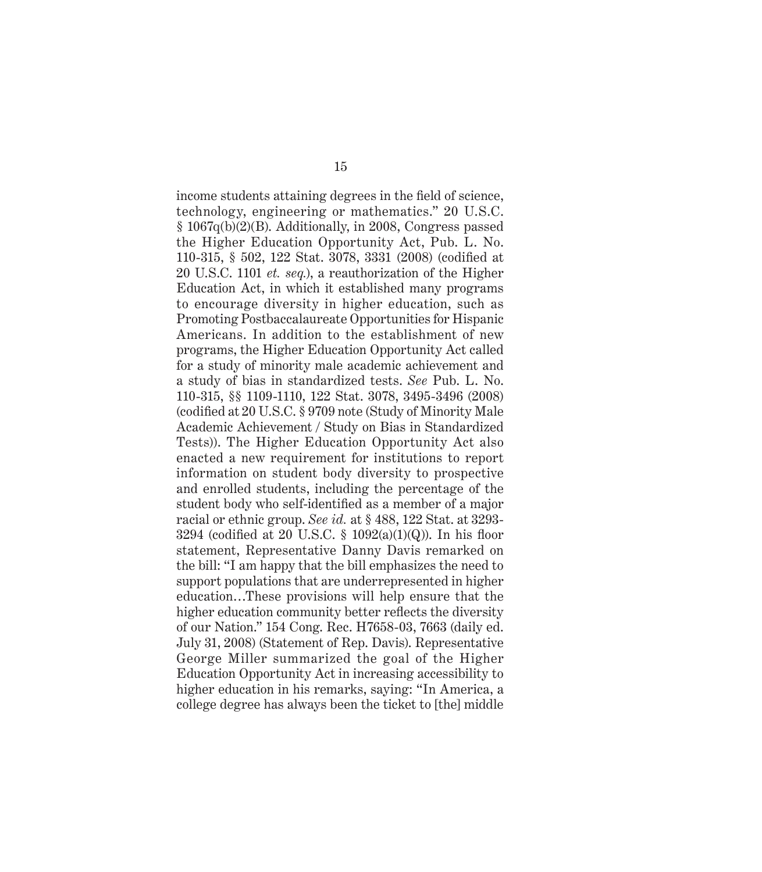income students attaining degrees in the field of science, technology, engineering or mathematics." 20 U.S.C. § 1067q(b)(2)(B). Additionally, in 2008, Congress passed the Higher Education Opportunity Act, Pub. L. No. 110-315, § 502, 122 Stat. 3078, 3331 (2008) (codified at 20 U.S.C. 1101 *et. seq.*), a reauthorization of the Higher Education Act, in which it established many programs to encourage diversity in higher education, such as Promoting Postbaccalaureate Opportunities for Hispanic Americans. In addition to the establishment of new programs, the Higher Education Opportunity Act called for a study of minority male academic achievement and a study of bias in standardized tests. *See* Pub. L. No. 110-315, §§ 1109-1110, 122 Stat. 3078, 3495-3496 (2008) (codified at 20 U.S.C. § 9709 note (Study of Minority Male Academic Achievement / Study on Bias in Standardized Tests)). The Higher Education Opportunity Act also enacted a new requirement for institutions to report information on student body diversity to prospective and enrolled students, including the percentage of the student body who self-identified as a member of a major racial or ethnic group. *See id.* at § 488, 122 Stat. at 3293- 3294 (codified at 20 U.S.C.  $\S$  1092(a)(1)(Q)). In his floor statement, Representative Danny Davis remarked on the bill: "I am happy that the bill emphasizes the need to support populations that are underrepresented in higher education…These provisions will help ensure that the higher education community better reflects the diversity of our Nation." 154 Cong. Rec. H7658-03, 7663 (daily ed. July 31, 2008) (Statement of Rep. Davis). Representative George Miller summarized the goal of the Higher Education Opportunity Act in increasing accessibility to higher education in his remarks, saying: "In America, a college degree has always been the ticket to [the] middle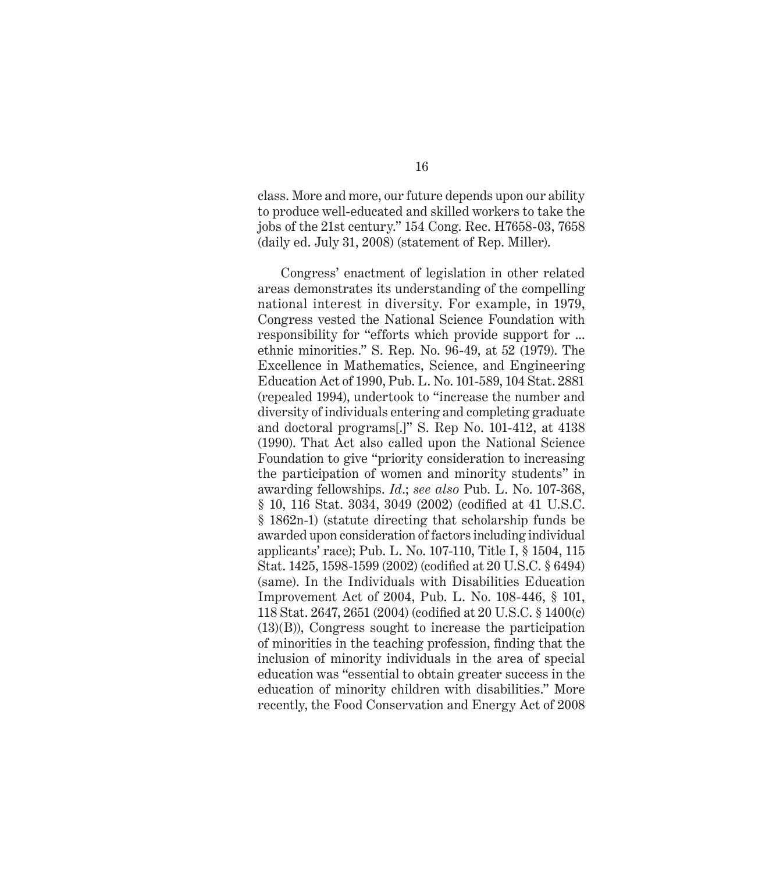class. More and more, our future depends upon our ability to produce well-educated and skilled workers to take the jobs of the 21st century." 154 Cong. Rec. H7658-03, 7658 (daily ed. July 31, 2008) (statement of Rep. Miller).

Congress' enactment of legislation in other related areas demonstrates its understanding of the compelling national interest in diversity. For example, in 1979, Congress vested the National Science Foundation with responsibility for "efforts which provide support for ... ethnic minorities." S. Rep. No. 96-49, at 52 (1979). The Excellence in Mathematics, Science, and Engineering Education Act of 1990, Pub. L. No. 101-589, 104 Stat. 2881 (repealed 1994), undertook to "increase the number and diversity of individuals entering and completing graduate and doctoral programs[.]" S. Rep No. 101-412, at 4138 (1990). That Act also called upon the National Science Foundation to give "priority consideration to increasing the participation of women and minority students" in awarding fellowships. *Id*.; *see also* Pub. L. No. 107-368,  $§$  10, 116 Stat. 3034, 3049 (2002) (codified at 41 U.S.C. § 1862n-1) (statute directing that scholarship funds be awarded upon consideration of factors including individual applicants' race); Pub. L. No. 107-110, Title I, § 1504, 115 Stat. 1425, 1598-1599 (2002) (codified at 20 U.S.C. § 6494) (same). In the Individuals with Disabilities Education Improvement Act of 2004, Pub. L. No. 108-446, § 101, 118 Stat. 2647, 2651 (2004) (codified at 20 U.S.C. § 1400(c) (13)(B)), Congress sought to increase the participation of minorities in the teaching profession, finding that the inclusion of minority individuals in the area of special education was "essential to obtain greater success in the education of minority children with disabilities." More recently, the Food Conservation and Energy Act of 2008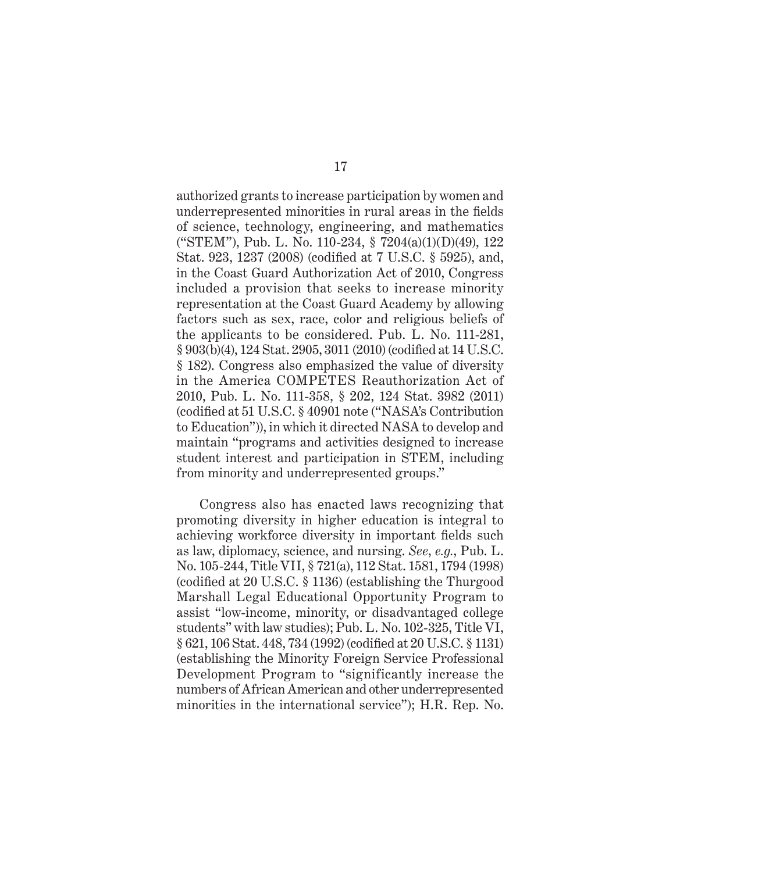authorized grants to increase participation by women and underrepresented minorities in rural areas in the fields of science, technology, engineering, and mathematics ("STEM"), Pub. L. No. 110-234, § 7204(a)(1)(D)(49), 122 Stat. 923, 1237 (2008) (codified at 7 U.S.C. § 5925), and, in the Coast Guard Authorization Act of 2010, Congress included a provision that seeks to increase minority representation at the Coast Guard Academy by allowing factors such as sex, race, color and religious beliefs of the applicants to be considered. Pub. L. No. 111-281, § 903(b)(4), 124 Stat. 2905, 3011 (2010) (codified at 14 U.S.C. § 182). Congress also emphasized the value of diversity in the America COMPETES Reauthorization Act of 2010, Pub. L. No. 111-358, § 202, 124 Stat. 3982 (2011) (codified at 51 U.S.C. § 40901 note ("NASA's Contribution to Education")), in which it directed NASA to develop and maintain "programs and activities designed to increase student interest and participation in STEM, including from minority and underrepresented groups."

Congress also has enacted laws recognizing that promoting diversity in higher education is integral to achieving workforce diversity in important fields such as law, diplomacy, science, and nursing. *See*, *e.g.*, Pub. L. No. 105-244, Title VII, § 721(a), 112 Stat. 1581, 1794 (1998) (codified at  $20$  U.S.C.  $\S$  1136) (establishing the Thurgood Marshall Legal Educational Opportunity Program to assist "low-income, minority, or disadvantaged college students" with law studies); Pub. L. No. 102-325, Title VI, § 621, 106 Stat. 448, 734 (1992) (codified at 20 U.S.C. § 1131) (establishing the Minority Foreign Service Professional Development Program to "significantly increase the numbers of African American and other underrepresented minorities in the international service"); H.R. Rep. No.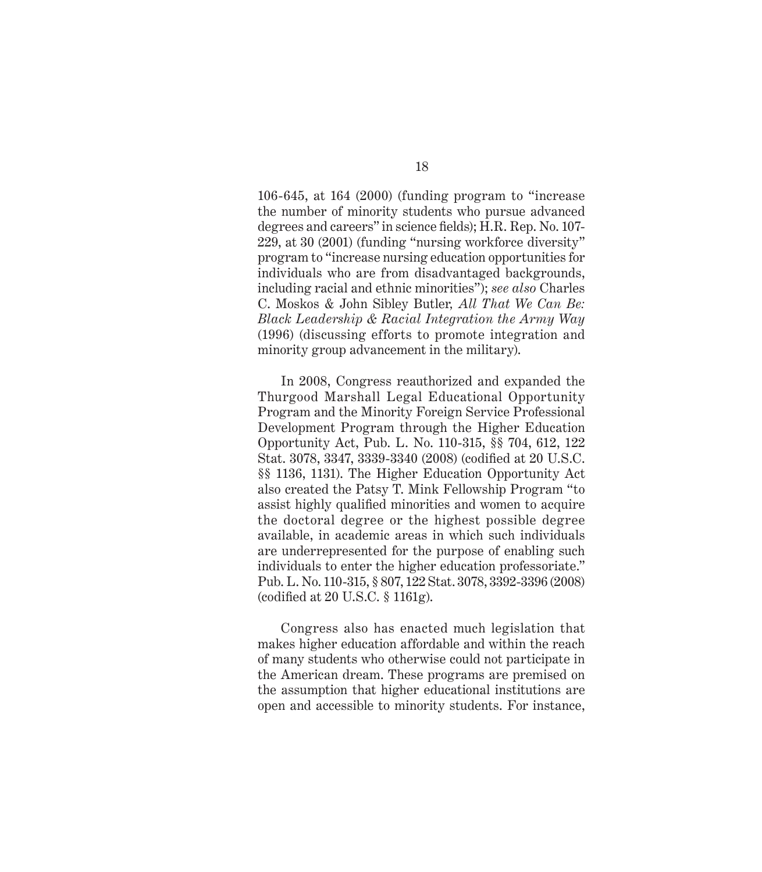106-645, at 164 (2000) (funding program to "increase the number of minority students who pursue advanced degrees and careers" in science fields); H.R. Rep. No. 107-229, at 30 (2001) (funding "nursing workforce diversity" program to "increase nursing education opportunities for individuals who are from disadvantaged backgrounds, including racial and ethnic minorities"); *see also* Charles C. Moskos & John Sibley Butler*, All That We Can Be: Black Leadership & Racial Integration the Army Way* (1996) (discussing efforts to promote integration and minority group advancement in the military).

In 2008, Congress reauthorized and expanded the Thurgood Marshall Legal Educational Opportunity Program and the Minority Foreign Service Professional Development Program through the Higher Education Opportunity Act, Pub. L. No. 110-315, §§ 704, 612, 122 Stat. 3078, 3347, 3339-3340 (2008) (codified at 20 U.S.C. §§ 1136, 1131). The Higher Education Opportunity Act also created the Patsy T. Mink Fellowship Program "to assist highly qualified minorities and women to acquire the doctoral degree or the highest possible degree available, in academic areas in which such individuals are underrepresented for the purpose of enabling such individuals to enter the higher education professoriate." Pub. L. No. 110-315, § 807, 122 Stat. 3078, 3392-3396 (2008) (codified at 20 U.S.C.  $\S$  1161g).

Congress also has enacted much legislation that makes higher education affordable and within the reach of many students who otherwise could not participate in the American dream. These programs are premised on the assumption that higher educational institutions are open and accessible to minority students. For instance,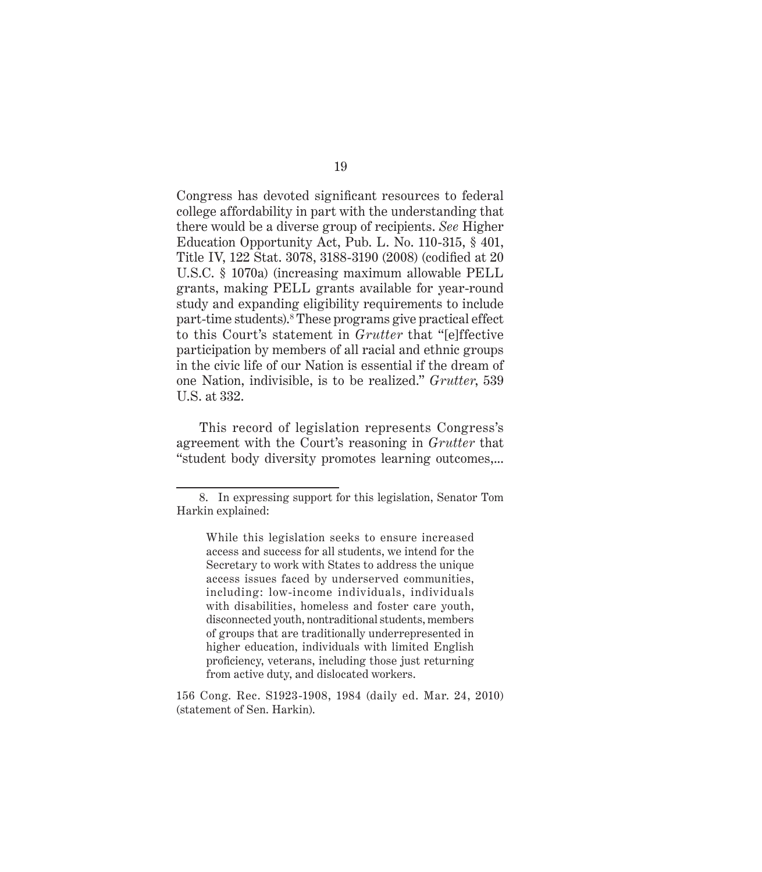Congress has devoted significant resources to federal college affordability in part with the understanding that there would be a diverse group of recipients. *See* Higher Education Opportunity Act, Pub. L. No. 110-315, § 401, Title IV, 122 Stat. 3078, 3188-3190 (2008) (codified at 20 U.S.C. § 1070a) (increasing maximum allowable PELL grants, making PELL grants available for year-round study and expanding eligibility requirements to include part-time students).<sup>8</sup> These programs give practical effect to this Court's statement in *Grutter* that "[e]ffective participation by members of all racial and ethnic groups in the civic life of our Nation is essential if the dream of one Nation, indivisible, is to be realized." *Grutter*, 539 U.S. at 332.

This record of legislation represents Congress's agreement with the Court's reasoning in *Grutter* that "student body diversity promotes learning outcomes,...

<sup>8.</sup> In expressing support for this legislation, Senator Tom Harkin explained:

While this legislation seeks to ensure increased access and success for all students, we intend for the Secretary to work with States to address the unique access issues faced by underserved communities, including: low-income individuals, individuals with disabilities, homeless and foster care youth, disconnected youth, nontraditional students, members of groups that are traditionally underrepresented in higher education, individuals with limited English proficiency, veterans, including those just returning from active duty, and dislocated workers.

<sup>156</sup> Cong. Rec. S1923-1908, 1984 (daily ed. Mar. 24, 2010) (statement of Sen. Harkin).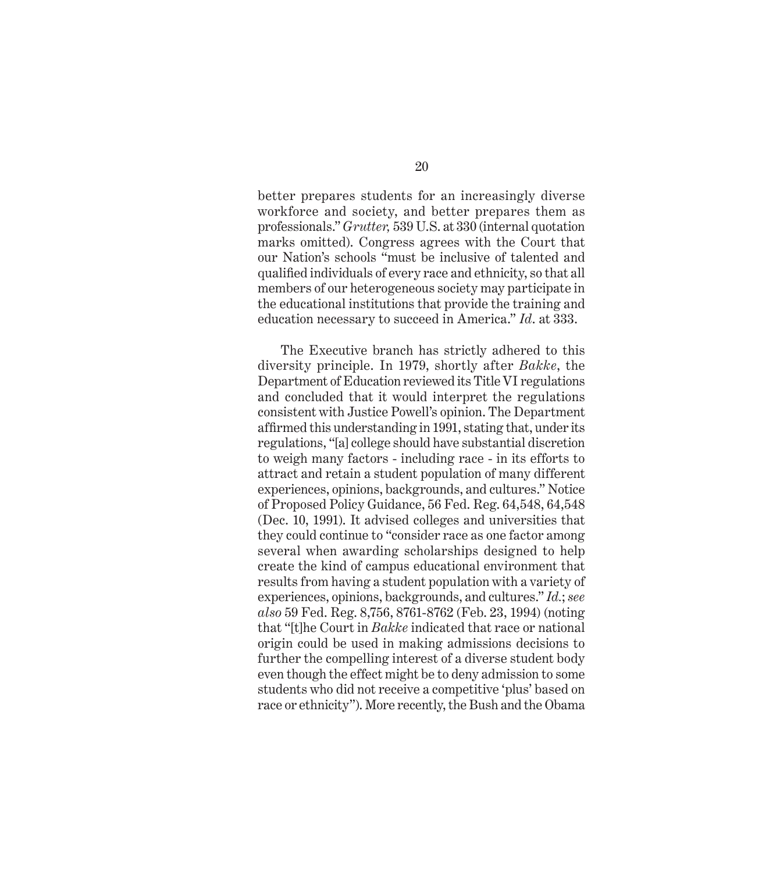better prepares students for an increasingly diverse workforce and society, and better prepares them as professionals." *Grutter,* 539 U.S. at 330 (internal quotation marks omitted). Congress agrees with the Court that our Nation's schools "must be inclusive of talented and qualified individuals of every race and ethnicity, so that all members of our heterogeneous society may participate in the educational institutions that provide the training and education necessary to succeed in America." *Id*. at 333.

The Executive branch has strictly adhered to this diversity principle. In 1979, shortly after *Bakke*, the Department of Education reviewed its Title VI regulations and concluded that it would interpret the regulations consistent with Justice Powell's opinion. The Department affirmed this understanding in 1991, stating that, under its regulations, "[a] college should have substantial discretion to weigh many factors - including race - in its efforts to attract and retain a student population of many different experiences, opinions, backgrounds, and cultures." Notice of Proposed Policy Guidance, 56 Fed. Reg. 64,548, 64,548 (Dec. 10, 1991). It advised colleges and universities that they could continue to "consider race as one factor among several when awarding scholarships designed to help create the kind of campus educational environment that results from having a student population with a variety of experiences, opinions, backgrounds, and cultures." *Id.*; *see also* 59 Fed. Reg. 8,756, 8761-8762 (Feb. 23, 1994) (noting that "[t]he Court in *Bakke* indicated that race or national origin could be used in making admissions decisions to further the compelling interest of a diverse student body even though the effect might be to deny admission to some students who did not receive a competitive 'plus' based on race or ethnicity"). More recently, the Bush and the Obama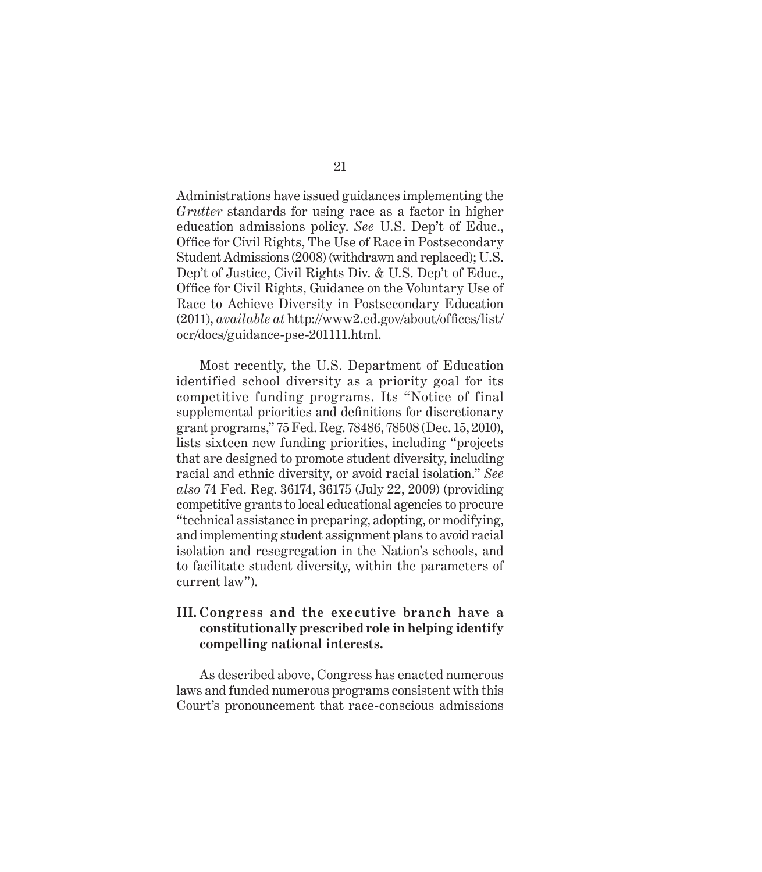Administrations have issued guidances implementing the *Grutter* standards for using race as a factor in higher education admissions policy. *See* U.S. Dep't of Educ., Office for Civil Rights, The Use of Race in Postsecondary Student Admissions (2008) (withdrawn and replaced); U.S. Dep't of Justice, Civil Rights Div. & U.S. Dep't of Educ., Office for Civil Rights, Guidance on the Voluntary Use of Race to Achieve Diversity in Postsecondary Education  $(2011)$ , *available at* http://www2.ed.gov/about/offices/list/ ocr/docs/guidance-pse-201111.html.

Most recently, the U.S. Department of Education identified school diversity as a priority goal for its competitive funding programs. Its "Notice of final supplemental priorities and definitions for discretionary grant programs," 75 Fed. Reg. 78486, 78508 (Dec. 15, 2010), lists sixteen new funding priorities, including "projects that are designed to promote student diversity, including racial and ethnic diversity, or avoid racial isolation." *See also* 74 Fed. Reg. 36174, 36175 (July 22, 2009) (providing competitive grants to local educational agencies to procure "technical assistance in preparing, adopting, or modifying, and implementing student assignment plans to avoid racial isolation and resegregation in the Nation's schools, and to facilitate student diversity, within the parameters of current law").

#### **III. Congress and the executive branch have a constitutionally prescribed role in helping identify compelling national interests.**

As described above, Congress has enacted numerous laws and funded numerous programs consistent with this Court's pronouncement that race-conscious admissions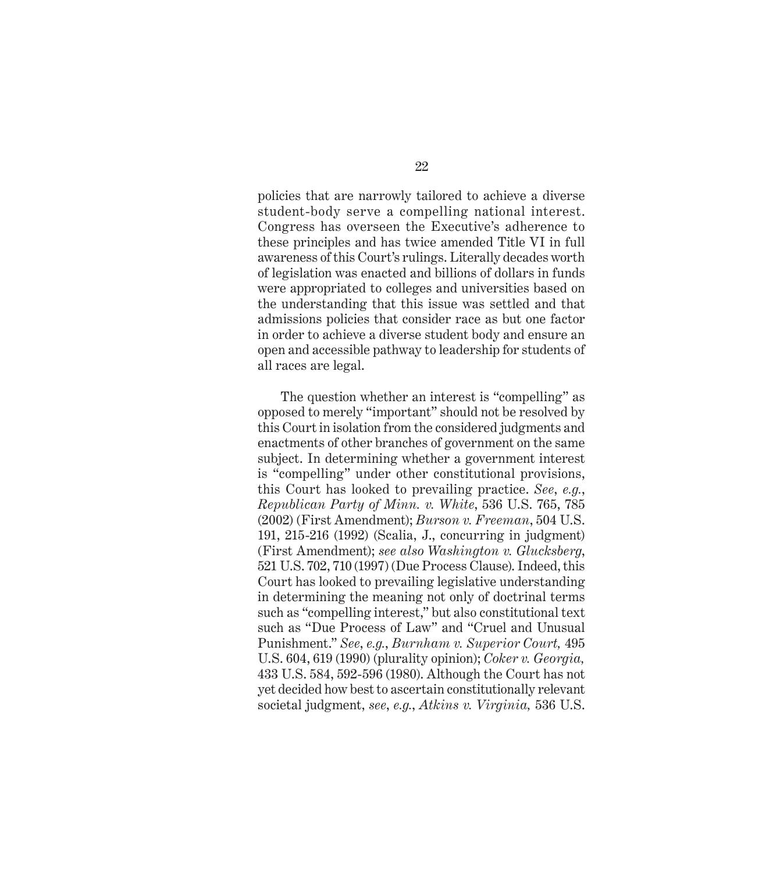policies that are narrowly tailored to achieve a diverse student-body serve a compelling national interest. Congress has overseen the Executive's adherence to these principles and has twice amended Title VI in full awareness of this Court's rulings. Literally decades worth of legislation was enacted and billions of dollars in funds were appropriated to colleges and universities based on the understanding that this issue was settled and that admissions policies that consider race as but one factor in order to achieve a diverse student body and ensure an open and accessible pathway to leadership for students of all races are legal.

The question whether an interest is "compelling" as opposed to merely "important" should not be resolved by this Court in isolation from the considered judgments and enactments of other branches of government on the same subject. In determining whether a government interest is "compelling" under other constitutional provisions, this Court has looked to prevailing practice. *See*, *e.g.*, *Republican Party of Minn. v. White*, 536 U.S. 765, 785 (2002) (First Amendment); *Burson v. Freeman*, 504 U.S. 191, 215-216 (1992) (Scalia, J., concurring in judgment) (First Amendment); *see also Washington v. Glucksberg*, 521 U.S. 702, 710 (1997) (Due Process Clause). Indeed, this Court has looked to prevailing legislative understanding in determining the meaning not only of doctrinal terms such as "compelling interest," but also constitutional text such as "Due Process of Law" and "Cruel and Unusual Punishment." *See*, *e.g.*, *Burnham v. Superior Court,* 495 U.S. 604, 619 (1990) (plurality opinion); *Coker v. Georgia,*  433 U.S. 584, 592-596 (1980). Although the Court has not yet decided how best to ascertain constitutionally relevant societal judgment, *see*, *e.g.*, *Atkins v. Virginia,* 536 U.S.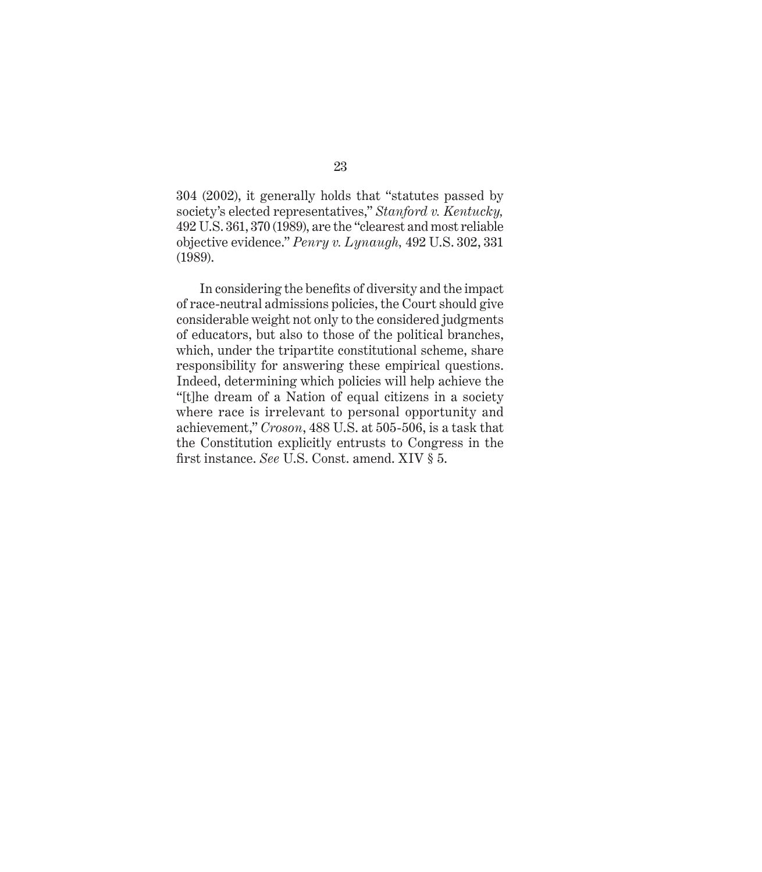304 (2002), it generally holds that "statutes passed by society's elected representatives," *Stanford v. Kentucky,*  492 U.S. 361, 370 (1989), are the "clearest and most reliable objective evidence." *Penry v. Lynaugh,* 492 U.S. 302, 331 (1989).

In considering the benefits of diversity and the impact of race-neutral admissions policies, the Court should give considerable weight not only to the considered judgments of educators, but also to those of the political branches, which, under the tripartite constitutional scheme, share responsibility for answering these empirical questions. Indeed, determining which policies will help achieve the "[t]he dream of a Nation of equal citizens in a society where race is irrelevant to personal opportunity and achievement," *Croson*, 488 U.S. at 505-506, is a task that the Constitution explicitly entrusts to Congress in the first instance. *See U.S.* Const. amend. XIV § 5.